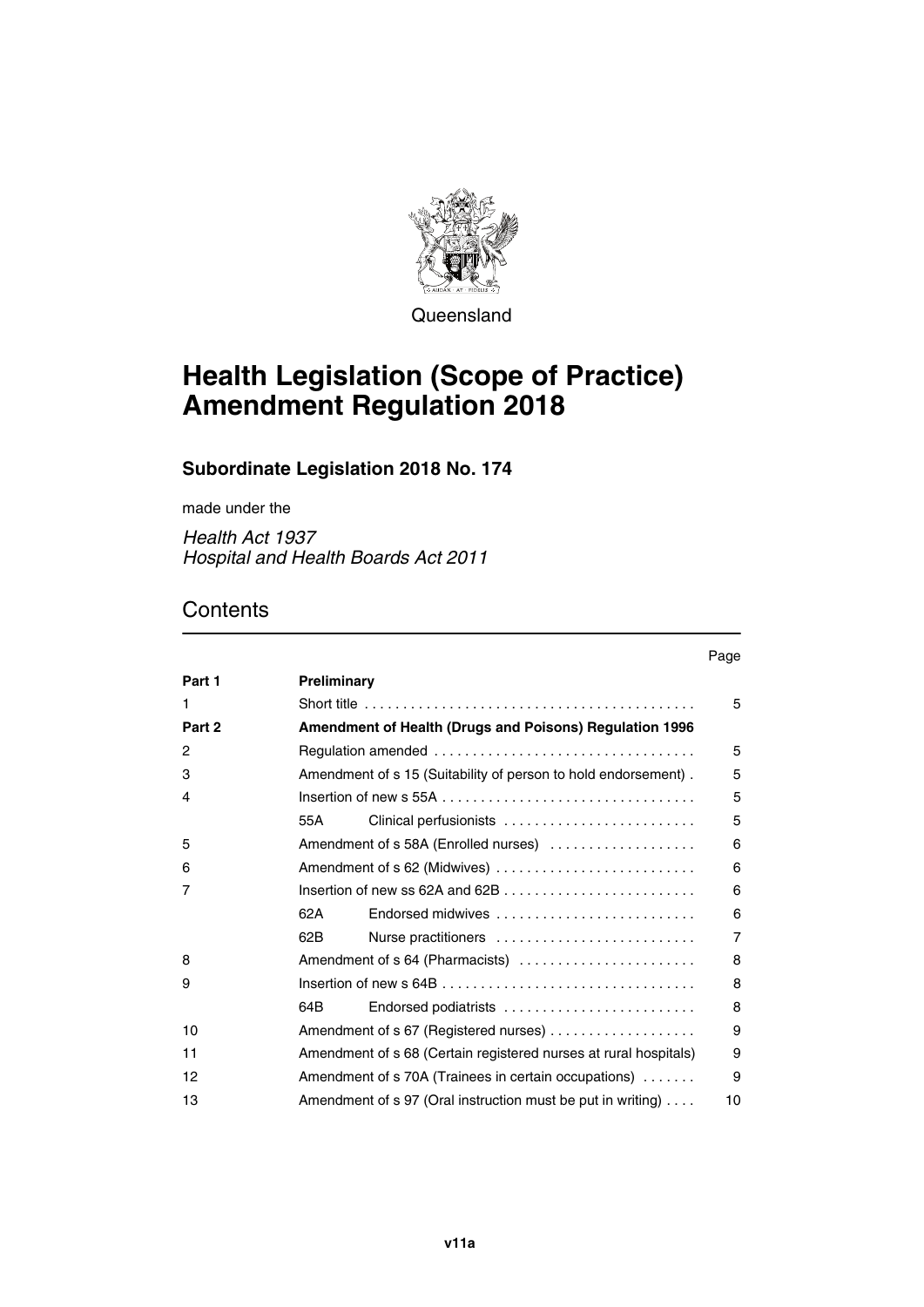

**Queensland** 

# **Health Legislation (Scope of Practice) Amendment Regulation 2018**

## **Subordinate Legislation 2018 No. 174**

made under the

*Health Act 1937 Hospital and Health Boards Act 2011*

# **Contents**

## Page **[Part 1](#page-4-0) [Preliminary](#page-4-1)** [1](#page-4-2) [Short title . . . . . . . . . . . . . . . . . . . . . . . . . . . . . . . . . . . . . . . . . . . 5](#page-4-3) **[Part 2](#page-4-4) [Amendment of Health \(Drugs and Poisons\) Regulation 1996](#page-4-5)** [2](#page-4-6) [Regulation amended . . . . . . . . . . . . . . . . . . . . . . . . . . . . . . . . . . 5](#page-4-7) [3](#page-4-8) [Amendment of s 15 \(Suitability of person to hold endorsement\) . 5](#page-4-9) [4](#page-4-10) [Insertion of new s 55A . . . . . . . . . . . . . . . . . . . . . . . . . . . . . . . . . 5](#page-4-11) [55A](#page-4-12) [Clinical perfusionists . . . . . . . . . . . . . . . . . . . . . . . . . 5](#page-4-13) [5](#page-5-0) [Amendment of s 58A \(Enrolled nurses\) . . . . . . . . . . . . . . . . . . . 6](#page-5-1) [6](#page-5-2) [Amendment of s 62 \(Midwives\) . . . . . . . . . . . . . . . . . . . . . . . . . . 6](#page-5-3) [7](#page-5-4) [Insertion of new ss 62A and 62B . . . . . . . . . . . . . . . . . . . . . . . . . 6](#page-5-5) [62A](#page-5-6) [Endorsed midwives . . . . . . . . . . . . . . . . . . . . . . . . . . 6](#page-5-7) [62B](#page-6-0) [Nurse practitioners . . . . . . . . . . . . . . . . . . . . . . . . . . 7](#page-6-1) [8](#page-7-0) [Amendment of s 64 \(Pharmacists\) . . . . . . . . . . . . . . . . . . . . . . . 8](#page-7-1) [9](#page-7-2) [Insertion of new s 64B . . . . . . . . . . . . . . . . . . . . . . . . . . . . . . . . . 8](#page-7-3) [64B](#page-7-4) [Endorsed podiatrists . . . . . . . . . . . . . . . . . . . . . . . . . 8](#page-7-5) [10](#page-8-0) [Amendment of s 67 \(Registered nurses\) . . . . . . . . . . . . . . . . . . . 9](#page-8-1) [11](#page-8-2) **Amendment of s 68 (Certain registered nurses at rural hospitals)** 9 [12](#page-8-4) **Amendment of s 70A (Trainees in certain occupations)** . . . . . . . 9 [13](#page-9-0) [Amendment of s 97 \(Oral instruction must be put in writing\) . . . . 10](#page-9-1)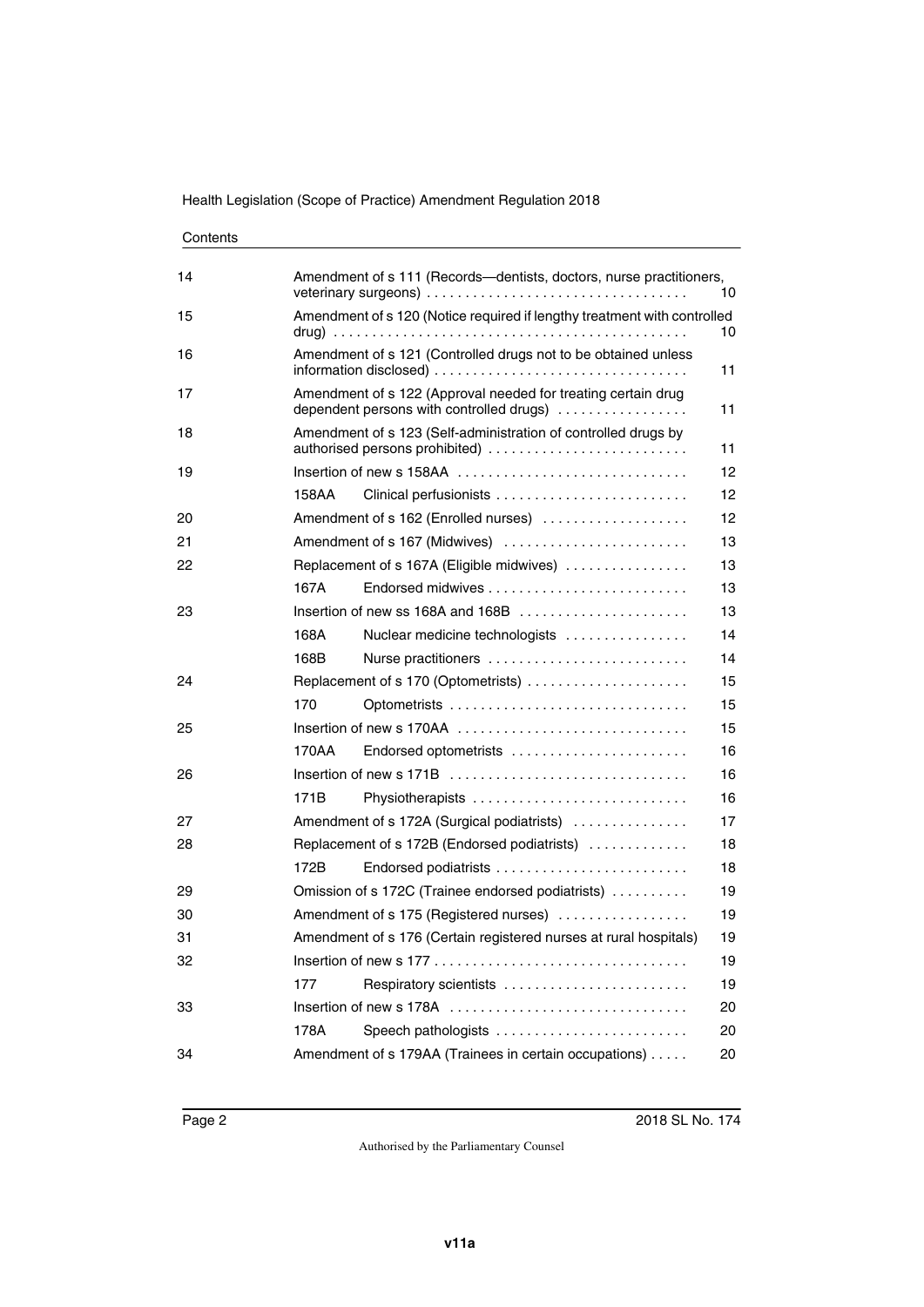| Contents |  |
|----------|--|
|----------|--|

| 14 |                                                                                                                 | Amendment of s 111 (Records-dentists, doctors, nurse practitioners,                       | 10 |  |
|----|-----------------------------------------------------------------------------------------------------------------|-------------------------------------------------------------------------------------------|----|--|
| 15 |                                                                                                                 | Amendment of s 120 (Notice required if lengthy treatment with controlled                  | 10 |  |
| 16 |                                                                                                                 | Amendment of s 121 (Controlled drugs not to be obtained unless                            | 11 |  |
| 17 | Amendment of s 122 (Approval needed for treating certain drug<br>dependent persons with controlled drugs)<br>11 |                                                                                           |    |  |
| 18 | Amendment of s 123 (Self-administration of controlled drugs by<br>authorised persons prohibited)<br>11          |                                                                                           |    |  |
| 19 |                                                                                                                 |                                                                                           | 12 |  |
|    | 158AA                                                                                                           | Clinical perfusionists                                                                    | 12 |  |
| 20 |                                                                                                                 | Amendment of s 162 (Enrolled nurses)                                                      | 12 |  |
| 21 | Amendment of s 167 (Midwives)<br>13                                                                             |                                                                                           |    |  |
| 22 |                                                                                                                 | Replacement of s 167A (Eligible midwives)                                                 | 13 |  |
|    | 167A                                                                                                            |                                                                                           | 13 |  |
| 23 |                                                                                                                 |                                                                                           | 13 |  |
|    | 168A                                                                                                            | Nuclear medicine technologists                                                            | 14 |  |
|    | 168B                                                                                                            | Nurse practitioners                                                                       | 14 |  |
| 24 |                                                                                                                 | Replacement of s 170 (Optometrists)                                                       | 15 |  |
|    | 170                                                                                                             |                                                                                           | 15 |  |
| 25 |                                                                                                                 | Insertion of new s 170AA $\ldots, \ldots, \ldots, \ldots, \ldots, \ldots, \ldots, \ldots$ | 15 |  |
|    | 170AA                                                                                                           | Endorsed optometrists                                                                     | 16 |  |
| 26 |                                                                                                                 |                                                                                           | 16 |  |
|    | 171B                                                                                                            | Physiotherapists                                                                          | 16 |  |
| 27 | Amendment of s 172A (Surgical podiatrists)<br>17                                                                |                                                                                           |    |  |
| 28 |                                                                                                                 | Replacement of s 172B (Endorsed podiatrists)                                              | 18 |  |
|    | 172B                                                                                                            |                                                                                           | 18 |  |
| 29 |                                                                                                                 | Omission of s 172C (Trainee endorsed podiatrists)                                         | 19 |  |
| 30 | Amendment of s 175 (Registered nurses)<br>19                                                                    |                                                                                           |    |  |
| 31 | Amendment of s 176 (Certain registered nurses at rural hospitals)<br>19                                         |                                                                                           |    |  |
| 32 |                                                                                                                 |                                                                                           | 19 |  |
|    | 177                                                                                                             | Respiratory scientists                                                                    | 19 |  |
| 33 |                                                                                                                 |                                                                                           | 20 |  |
|    | 178A                                                                                                            | Speech pathologists                                                                       | 20 |  |
| 34 |                                                                                                                 | Amendment of s 179AA (Trainees in certain occupations)                                    | 20 |  |
|    |                                                                                                                 |                                                                                           |    |  |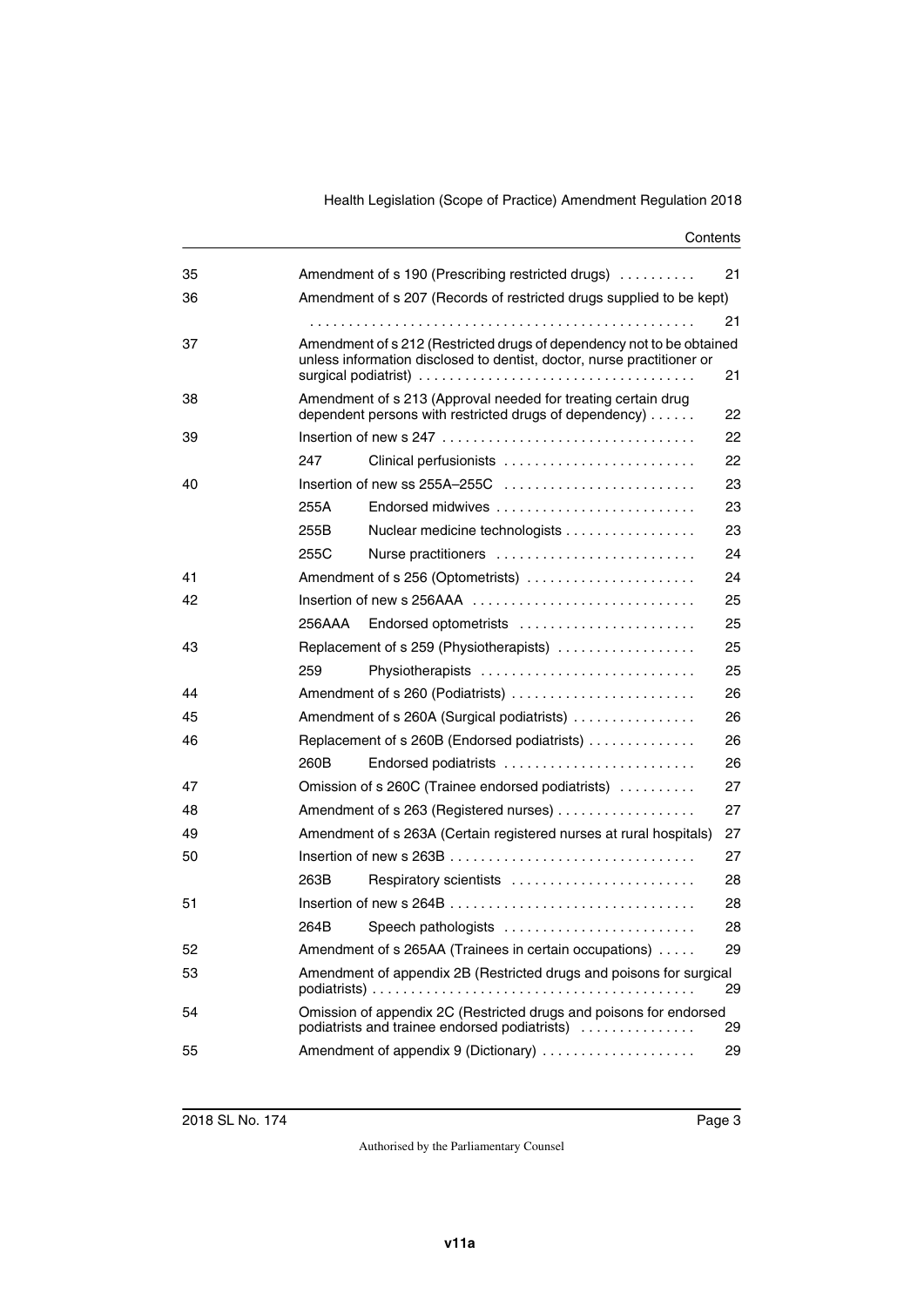#### **Contents**

| 35 | Amendment of s 190 (Prescribing restricted drugs)<br>21                                                                       |                                                                                                                                                 |    |  |
|----|-------------------------------------------------------------------------------------------------------------------------------|-------------------------------------------------------------------------------------------------------------------------------------------------|----|--|
| 36 | Amendment of s 207 (Records of restricted drugs supplied to be kept)                                                          |                                                                                                                                                 |    |  |
|    |                                                                                                                               |                                                                                                                                                 | 21 |  |
| 37 |                                                                                                                               | Amendment of s 212 (Restricted drugs of dependency not to be obtained<br>unless information disclosed to dentist, doctor, nurse practitioner or | 21 |  |
| 38 | Amendment of s 213 (Approval needed for treating certain drug<br>dependent persons with restricted drugs of dependency)<br>22 |                                                                                                                                                 |    |  |
| 39 |                                                                                                                               |                                                                                                                                                 | 22 |  |
|    | 247                                                                                                                           | Clinical perfusionists                                                                                                                          | 22 |  |
| 40 |                                                                                                                               | Insertion of new ss 255A-255C                                                                                                                   | 23 |  |
|    | 255A                                                                                                                          | Endorsed midwives                                                                                                                               | 23 |  |
|    | 255B                                                                                                                          | Nuclear medicine technologists                                                                                                                  | 23 |  |
|    | 255C                                                                                                                          | Nurse practitioners                                                                                                                             | 24 |  |
| 41 |                                                                                                                               | Amendment of s 256 (Optometrists)                                                                                                               | 24 |  |
| 42 |                                                                                                                               | Insertion of new s 256AAA                                                                                                                       | 25 |  |
|    | 256AAA                                                                                                                        | Endorsed optometrists                                                                                                                           | 25 |  |
| 43 |                                                                                                                               | Replacement of s 259 (Physiotherapists)                                                                                                         | 25 |  |
|    | 259                                                                                                                           | Physiotherapists                                                                                                                                | 25 |  |
| 44 |                                                                                                                               | Amendment of s 260 (Podiatrists)                                                                                                                | 26 |  |
| 45 | Amendment of s 260A (Surgical podiatrists)<br>26                                                                              |                                                                                                                                                 |    |  |
| 46 |                                                                                                                               | Replacement of s 260B (Endorsed podiatrists)                                                                                                    | 26 |  |
|    | 260B                                                                                                                          | Endorsed podiatrists                                                                                                                            | 26 |  |
| 47 | 27<br>Omission of s 260C (Trainee endorsed podiatrists)                                                                       |                                                                                                                                                 |    |  |
| 48 | 27<br>Amendment of s 263 (Registered nurses)                                                                                  |                                                                                                                                                 |    |  |
| 49 | Amendment of s 263A (Certain registered nurses at rural hospitals)<br>27                                                      |                                                                                                                                                 |    |  |
| 50 |                                                                                                                               |                                                                                                                                                 | 27 |  |
|    | 263B                                                                                                                          | Respiratory scientists                                                                                                                          | 28 |  |
| 51 |                                                                                                                               |                                                                                                                                                 | 28 |  |
|    | 264B                                                                                                                          |                                                                                                                                                 | 28 |  |
| 52 |                                                                                                                               | Amendment of s 265AA (Trainees in certain occupations)                                                                                          | 29 |  |
| 53 | Amendment of appendix 2B (Restricted drugs and poisons for surgical<br>29                                                     |                                                                                                                                                 |    |  |
| 54 | Omission of appendix 2C (Restricted drugs and poisons for endorsed<br>podiatrists and trainee endorsed podiatrists)<br>29     |                                                                                                                                                 |    |  |
| 55 |                                                                                                                               |                                                                                                                                                 | 29 |  |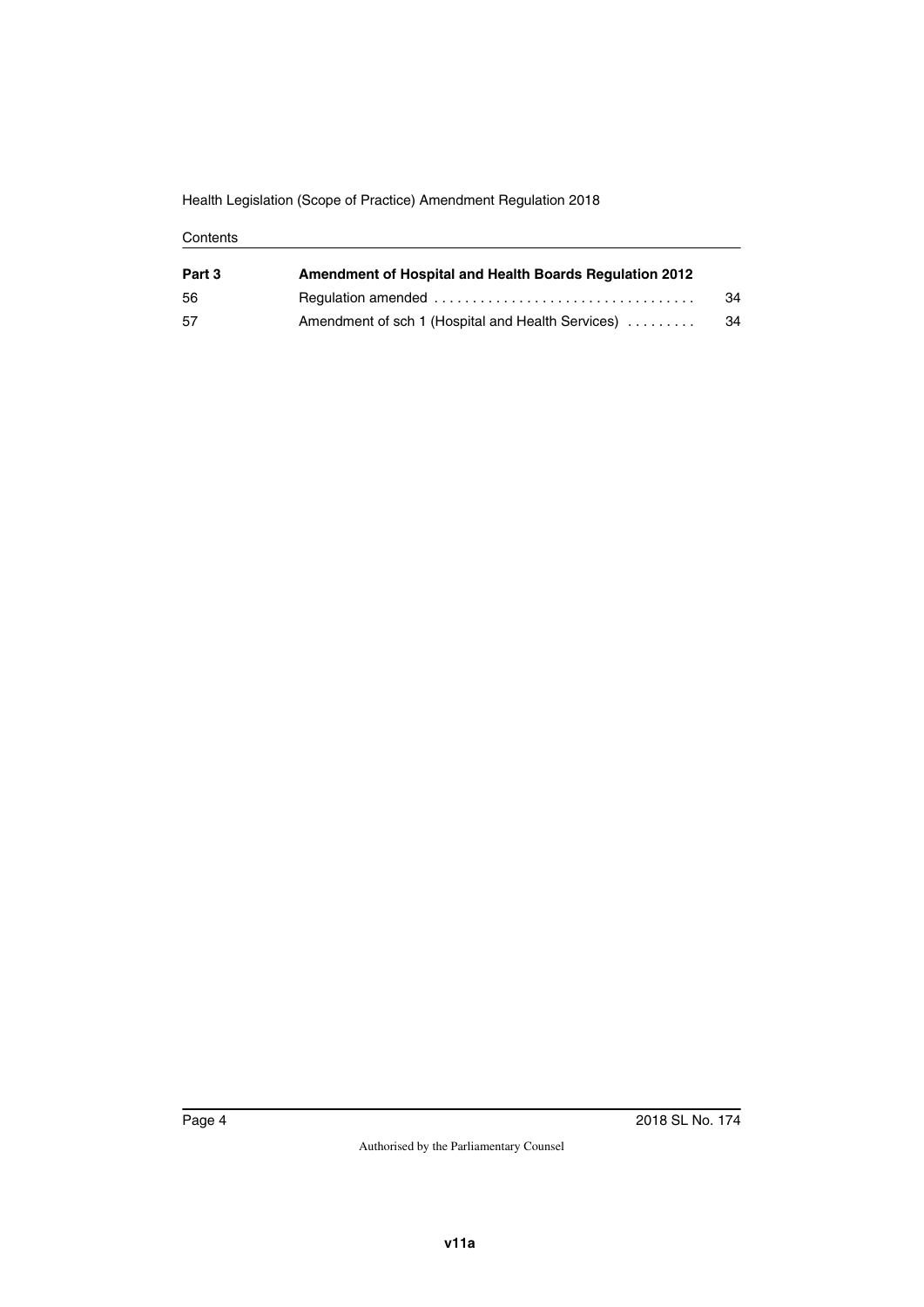Health Legislation (Scope of Practice) Amendment Regulation 2018

#### **Contents**

| Part 3 | <b>Amendment of Hospital and Health Boards Regulation 2012</b> |    |
|--------|----------------------------------------------------------------|----|
| 56     |                                                                | 34 |
| 57     | Amendment of sch 1 (Hospital and Health Services)              | 34 |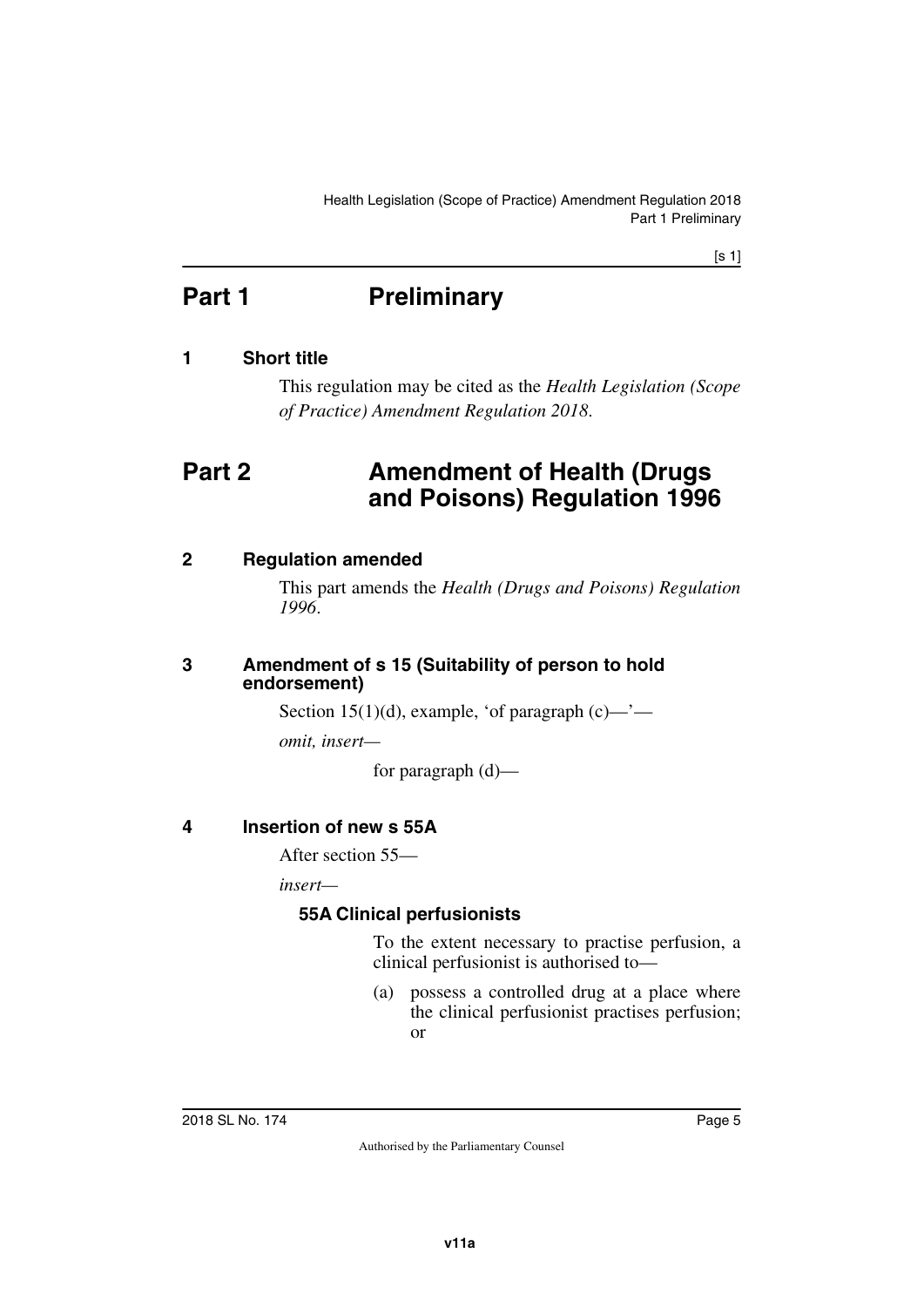[s 1]

# <span id="page-4-0"></span>**Part 1** Preliminary

## <span id="page-4-2"></span>**1 Short title**

<span id="page-4-5"></span><span id="page-4-3"></span><span id="page-4-1"></span>This regulation may be cited as the *Health Legislation (Scope of Practice) Amendment Regulation 2018*.

# <span id="page-4-4"></span>**Part 2 Amendment of Health (Drugs and Poisons) Regulation 1996**

## <span id="page-4-6"></span>**2 Regulation amended**

<span id="page-4-7"></span>This part amends the *Health (Drugs and Poisons) Regulation 1996*.

#### <span id="page-4-9"></span><span id="page-4-8"></span>**3 Amendment of s 15 (Suitability of person to hold endorsement)**

Section 15(1)(d), example, 'of paragraph  $(c)$ —'—

*omit, insert—*

for paragraph (d)—

# <span id="page-4-10"></span>**4 Insertion of new s 55A**

<span id="page-4-11"></span>After section 55—

*insert—*

## <span id="page-4-13"></span><span id="page-4-12"></span>**55A Clinical perfusionists**

To the extent necessary to practise perfusion, a clinical perfusionist is authorised to—

(a) possess a controlled drug at a place where the clinical perfusionist practises perfusion; or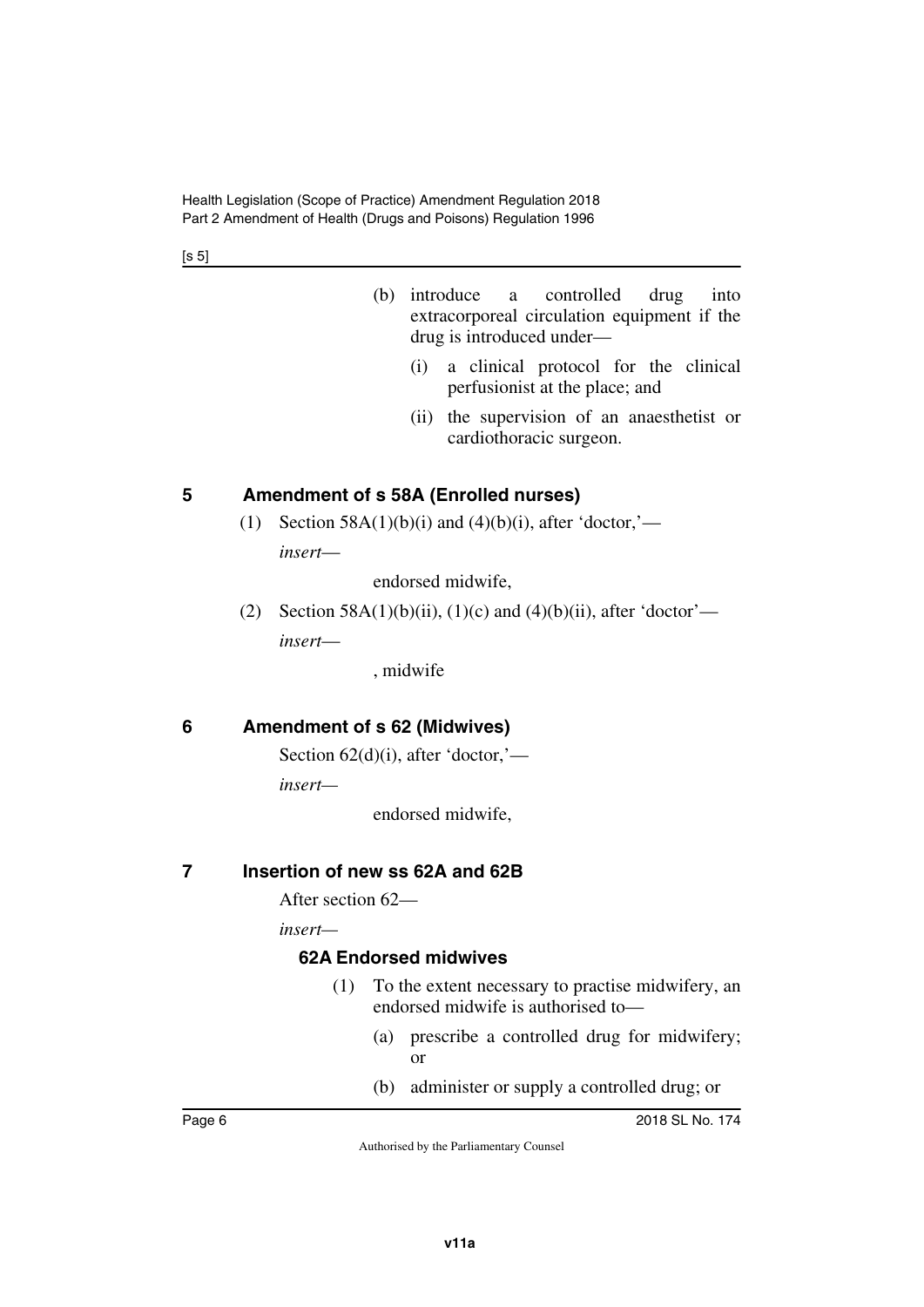$[s 5]$ 

- (b) introduce a controlled drug into extracorporeal circulation equipment if the drug is introduced under—
	- (i) a clinical protocol for the clinical perfusionist at the place; and
	- (ii) the supervision of an anaesthetist or cardiothoracic surgeon.

## <span id="page-5-0"></span>**5 Amendment of s 58A (Enrolled nurses)**

<span id="page-5-1"></span>(1) Section 58A(1)(b)(i) and (4)(b)(i), after 'doctor,' *insert*—

endorsed midwife,

(2) Section 58A(1)(b)(ii), (1)(c) and (4)(b)(ii), after 'doctor' *insert*—

, midwife

## <span id="page-5-2"></span>**6 Amendment of s 62 (Midwives)**

<span id="page-5-3"></span>Section  $62(d)(i)$ , after 'doctor,'—

*insert—*

endorsed midwife,

#### <span id="page-5-4"></span>**7 Insertion of new ss 62A and 62B**

<span id="page-5-5"></span>After section 62—

*insert—*

#### <span id="page-5-7"></span><span id="page-5-6"></span>**62A Endorsed midwives**

- (1) To the extent necessary to practise midwifery, an endorsed midwife is authorised to—
	- (a) prescribe a controlled drug for midwifery; or
	- (b) administer or supply a controlled drug; or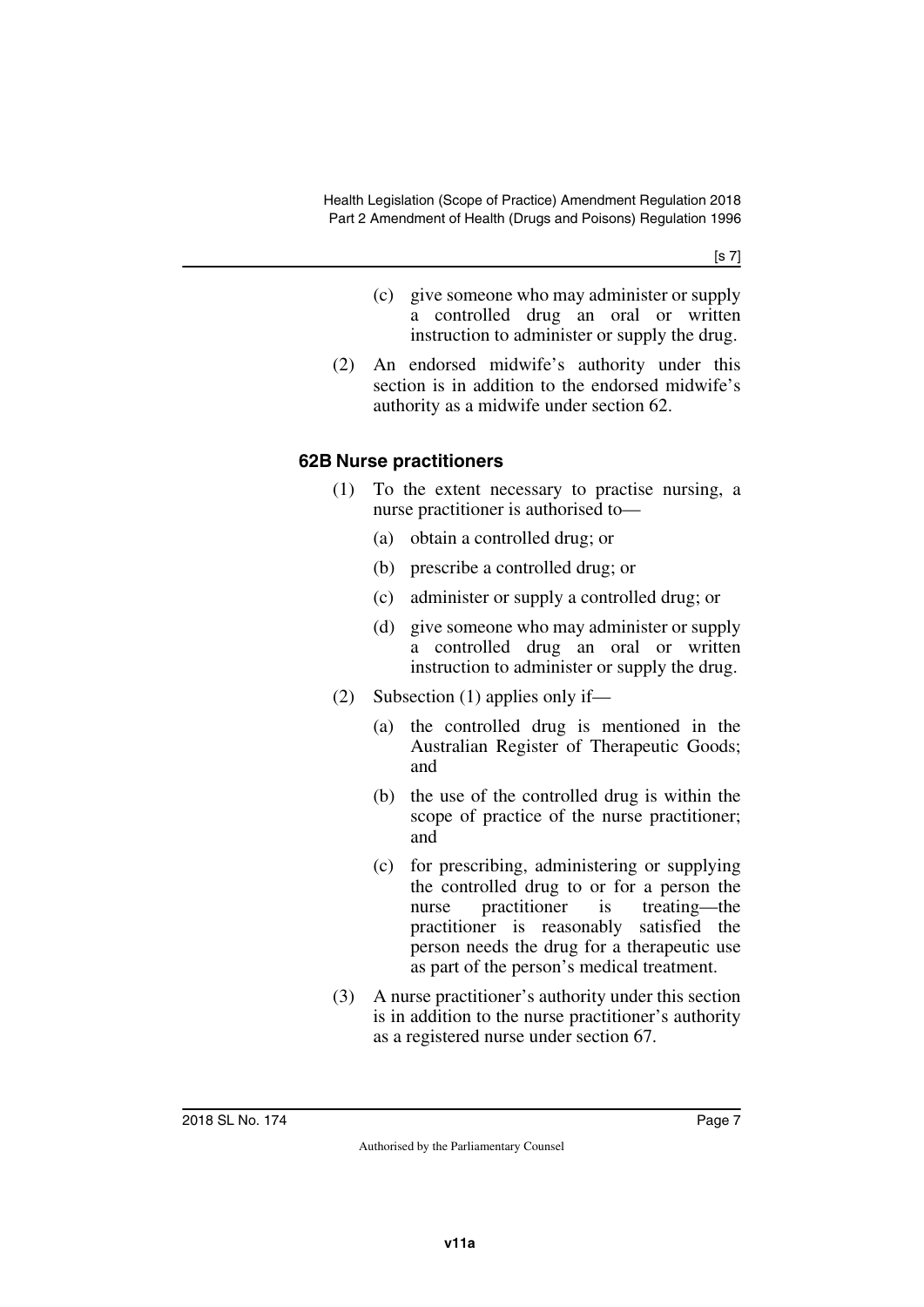[s 7]

- (c) give someone who may administer or supply a controlled drug an oral or written instruction to administer or supply the drug.
- (2) An endorsed midwife's authority under this section is in addition to the endorsed midwife's authority as a midwife under section 62.

## <span id="page-6-1"></span><span id="page-6-0"></span>**62B Nurse practitioners**

- (1) To the extent necessary to practise nursing, a nurse practitioner is authorised to—
	- (a) obtain a controlled drug; or
	- (b) prescribe a controlled drug; or
	- (c) administer or supply a controlled drug; or
	- (d) give someone who may administer or supply a controlled drug an oral or written instruction to administer or supply the drug.
- (2) Subsection (1) applies only if—
	- (a) the controlled drug is mentioned in the Australian Register of Therapeutic Goods; and
	- (b) the use of the controlled drug is within the scope of practice of the nurse practitioner; and
	- (c) for prescribing, administering or supplying the controlled drug to or for a person the nurse practitioner is treating—the practitioner is reasonably satisfied the person needs the drug for a therapeutic use as part of the person's medical treatment.
- (3) A nurse practitioner's authority under this section is in addition to the nurse practitioner's authority as a registered nurse under section 67.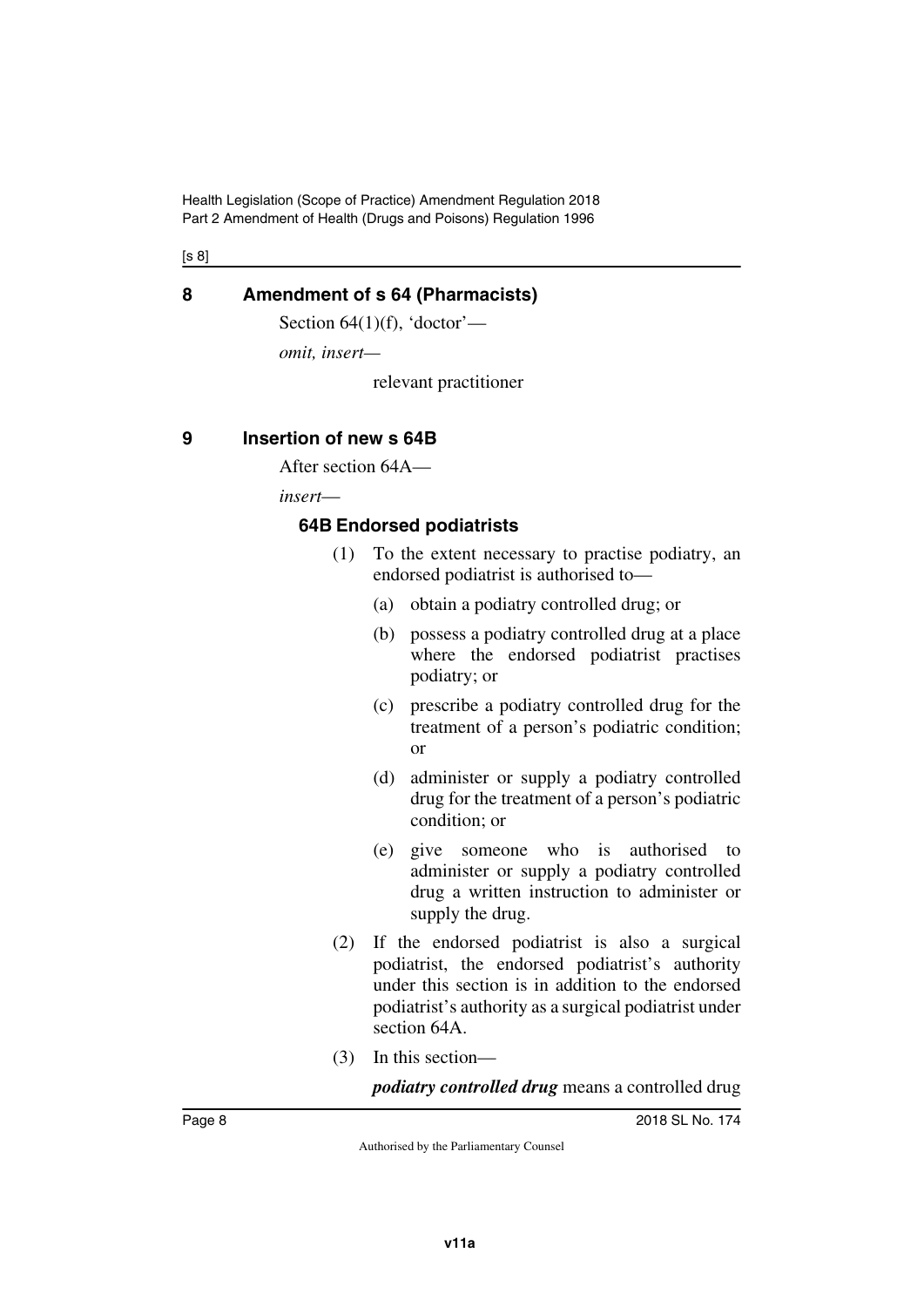[s 8]

## <span id="page-7-0"></span>**8 Amendment of s 64 (Pharmacists)**

<span id="page-7-1"></span>Section  $64(1)(f)$ , 'doctor'—

*omit, insert—*

relevant practitioner

## <span id="page-7-2"></span>**9 Insertion of new s 64B**

<span id="page-7-3"></span>After section 64A—

*insert*—

## <span id="page-7-5"></span><span id="page-7-4"></span>**64B Endorsed podiatrists**

- (1) To the extent necessary to practise podiatry, an endorsed podiatrist is authorised to—
	- (a) obtain a podiatry controlled drug; or
	- (b) possess a podiatry controlled drug at a place where the endorsed podiatrist practises podiatry; or
	- (c) prescribe a podiatry controlled drug for the treatment of a person's podiatric condition; or
	- (d) administer or supply a podiatry controlled drug for the treatment of a person's podiatric condition; or
	- (e) give someone who is authorised to administer or supply a podiatry controlled drug a written instruction to administer or supply the drug.
- (2) If the endorsed podiatrist is also a surgical podiatrist, the endorsed podiatrist's authority under this section is in addition to the endorsed podiatrist's authority as a surgical podiatrist under section 64A.
- (3) In this section—

*podiatry controlled drug* means a controlled drug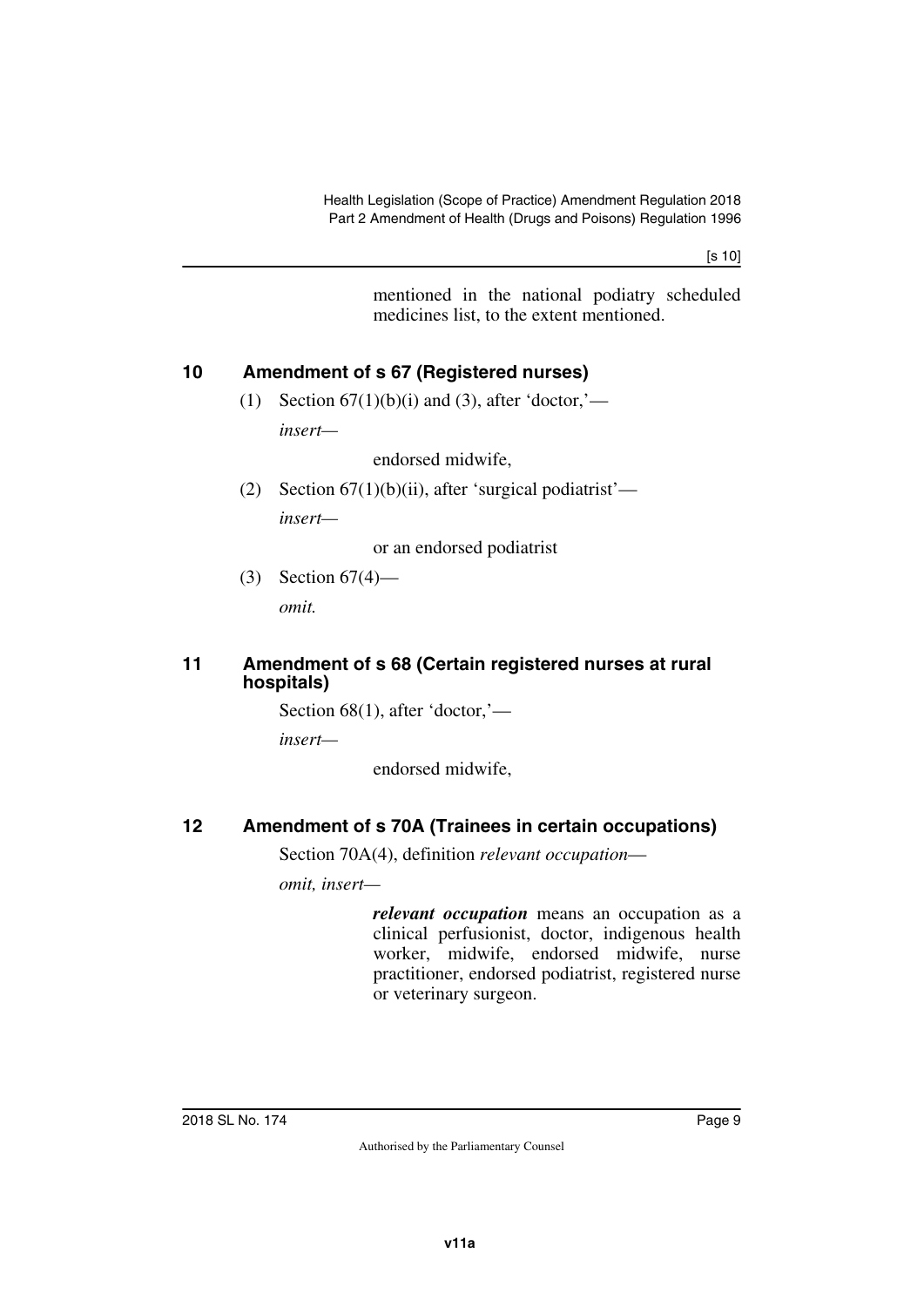[s 10]

mentioned in the national podiatry scheduled medicines list, to the extent mentioned.

## <span id="page-8-0"></span>**10 Amendment of s 67 (Registered nurses)**

<span id="page-8-1"></span>(1) Section  $67(1)(b)(i)$  and (3), after 'doctor,'—

*insert—*

endorsed midwife,

(2) Section  $67(1)(b)(ii)$ , after 'surgical podiatrist' *insert—*

or an endorsed podiatrist

(3) Section 67(4)—

<span id="page-8-3"></span>*omit.*

#### <span id="page-8-2"></span>**11 Amendment of s 68 (Certain registered nurses at rural hospitals)**

Section 68(1), after 'doctor,'—

*insert—*

endorsed midwife,

# <span id="page-8-4"></span>**12 Amendment of s 70A (Trainees in certain occupations)**

<span id="page-8-5"></span>Section 70A(4), definition *relevant occupation*—

*omit, insert—*

*relevant occupation* means an occupation as a clinical perfusionist, doctor, indigenous health worker, midwife, endorsed midwife, nurse practitioner, endorsed podiatrist, registered nurse or veterinary surgeon.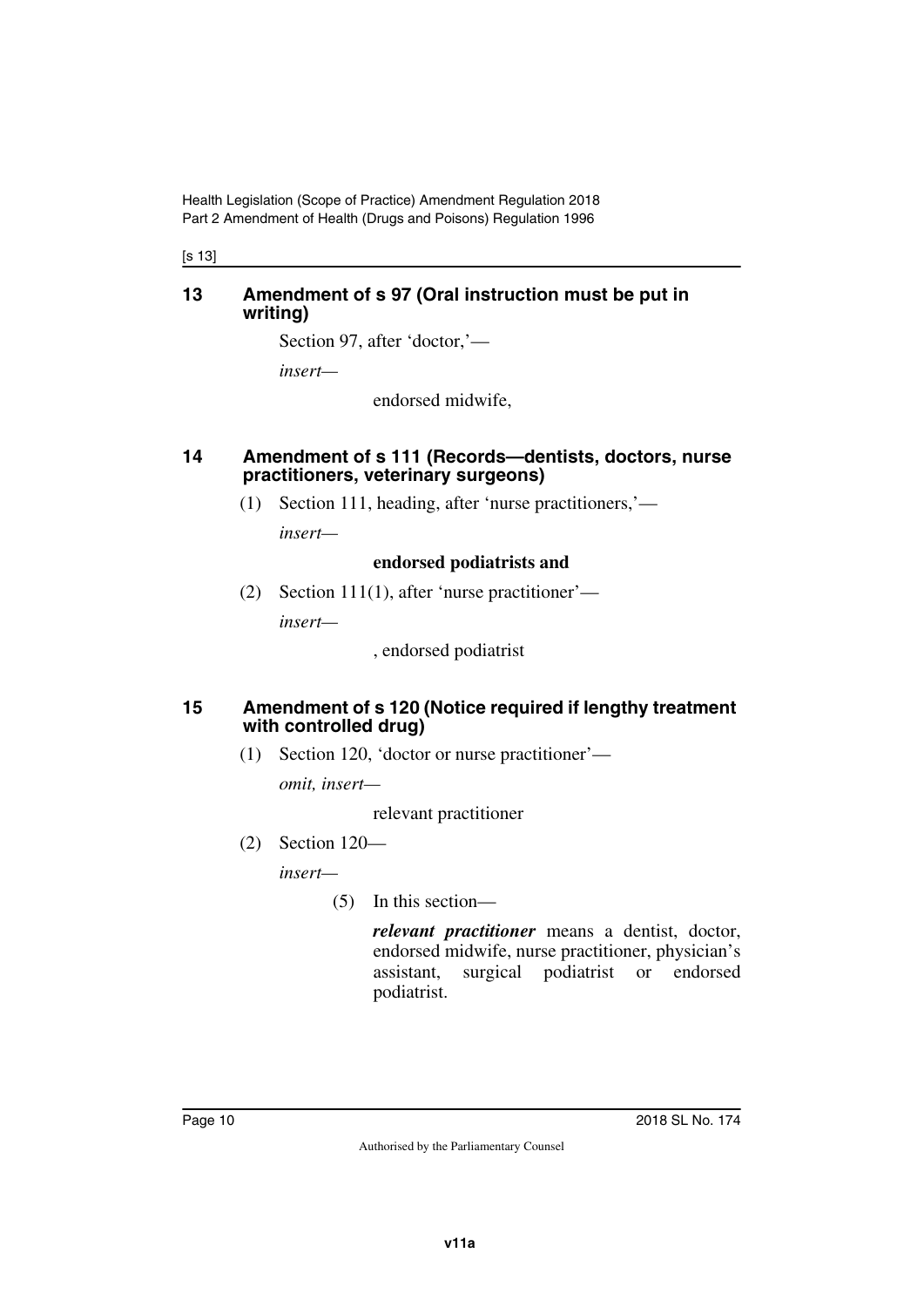[s 13]

#### <span id="page-9-1"></span><span id="page-9-0"></span>**13 Amendment of s 97 (Oral instruction must be put in writing)**

Section 97, after 'doctor,'—

*insert—*

endorsed midwife,

#### <span id="page-9-3"></span><span id="page-9-2"></span>**14 Amendment of s 111 (Records—dentists, doctors, nurse practitioners, veterinary surgeons)**

(1) Section 111, heading, after 'nurse practitioners,' *insert—*

#### **endorsed podiatrists and**

(2) Section 111(1), after 'nurse practitioner'—

*insert—*

, endorsed podiatrist

#### <span id="page-9-4"></span>**15 Amendment of s 120 (Notice required if lengthy treatment with controlled drug)**

<span id="page-9-5"></span>(1) Section 120, 'doctor or nurse practitioner'—

*omit, insert—*

relevant practitioner

(2) Section 120—

*insert—*

(5) In this section—

*relevant practitioner* means a dentist, doctor, endorsed midwife, nurse practitioner, physician's assistant, surgical podiatrist or endorsed podiatrist.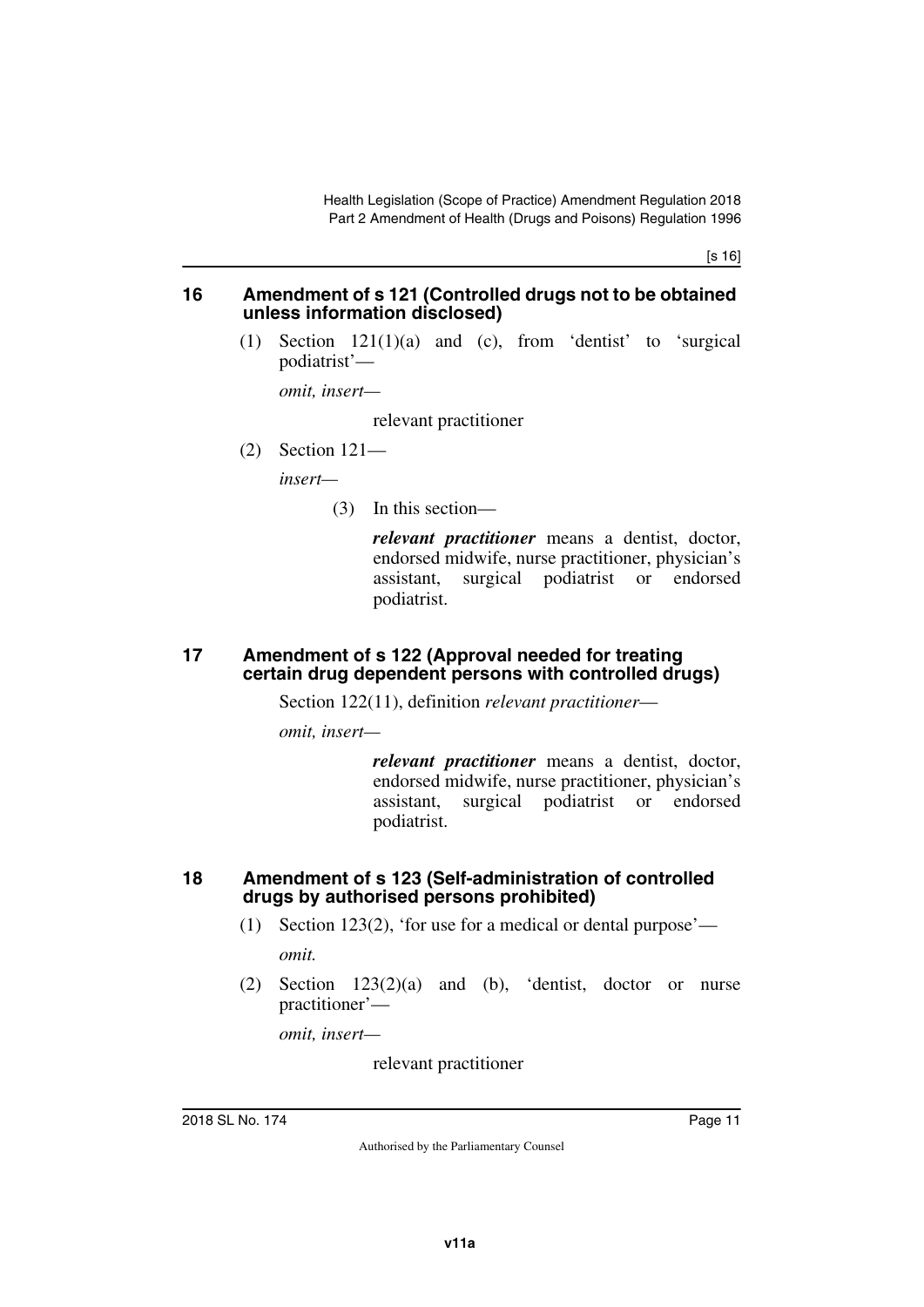[s 16]

#### <span id="page-10-1"></span><span id="page-10-0"></span>**16 Amendment of s 121 (Controlled drugs not to be obtained unless information disclosed)**

(1) Section 121(1)(a) and (c), from 'dentist' to 'surgical podiatrist'—

*omit, insert—*

relevant practitioner

(2) Section 121—

*insert—*

(3) In this section—

*relevant practitioner* means a dentist, doctor, endorsed midwife, nurse practitioner, physician's assistant, surgical podiatrist or endorsed podiatrist.

#### <span id="page-10-3"></span><span id="page-10-2"></span>**17 Amendment of s 122 (Approval needed for treating certain drug dependent persons with controlled drugs)**

Section 122(11), definition *relevant practitioner*—

*omit, insert—*

*relevant practitioner* means a dentist, doctor, endorsed midwife, nurse practitioner, physician's assistant, surgical podiatrist or endorsed podiatrist.

#### <span id="page-10-5"></span><span id="page-10-4"></span>**18 Amendment of s 123 (Self-administration of controlled drugs by authorised persons prohibited)**

- (1) Section 123(2), 'for use for a medical or dental purpose' *omit.*
- (2) Section 123(2)(a) and (b), 'dentist, doctor or nurse practitioner'—

*omit, insert—*

relevant practitioner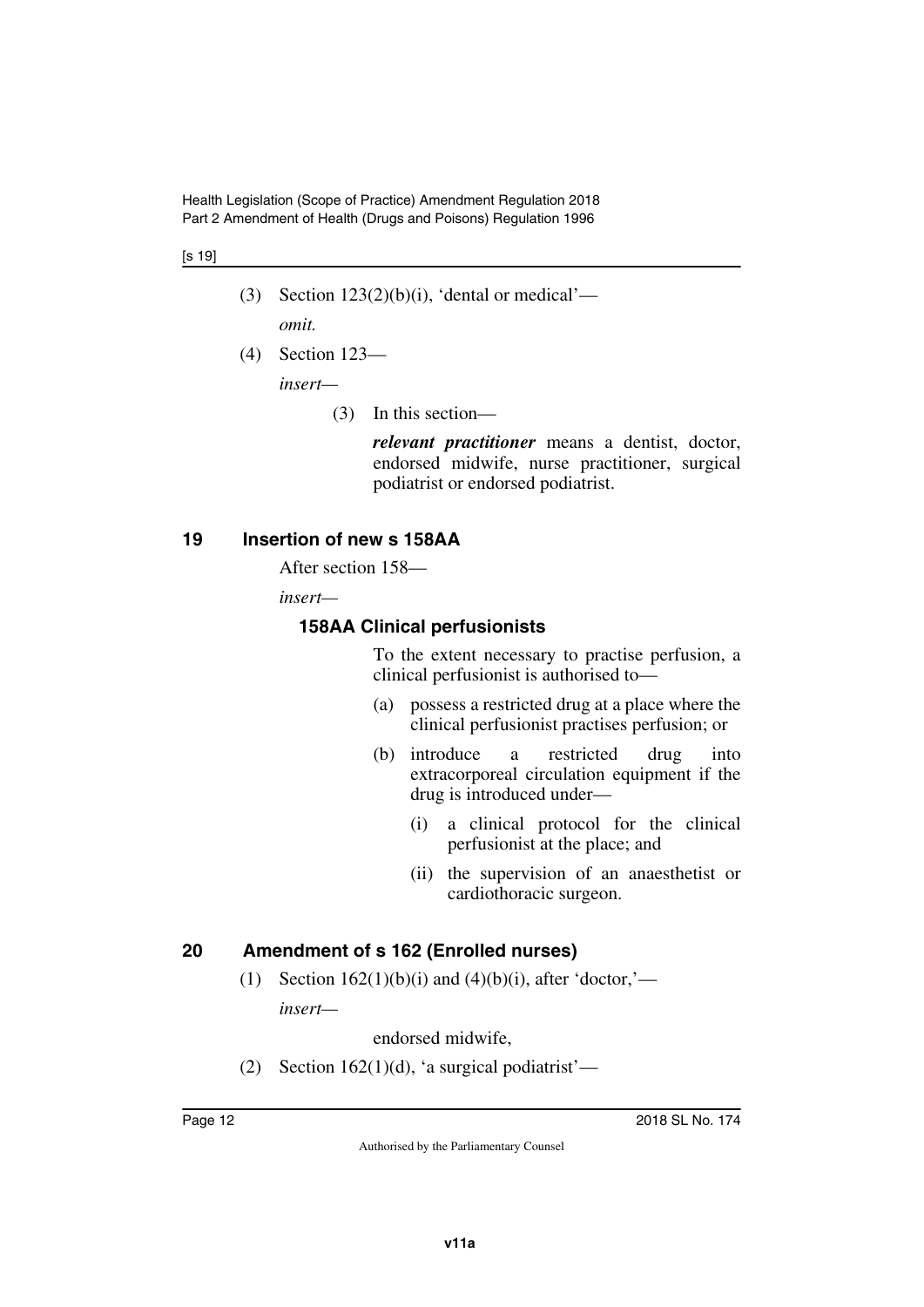#### [s 19]

- (3) Section  $123(2)(b)(i)$ , 'dental or medical' *omit.*
- (4) Section 123—

*insert—*

(3) In this section—

*relevant practitioner* means a dentist, doctor, endorsed midwife, nurse practitioner, surgical podiatrist or endorsed podiatrist.

#### <span id="page-11-0"></span>**19 Insertion of new s 158AA**

<span id="page-11-1"></span>After section 158—

*insert—*

#### <span id="page-11-2"></span>**158AA Clinical perfusionists**

<span id="page-11-3"></span>To the extent necessary to practise perfusion, a clinical perfusionist is authorised to—

- (a) possess a restricted drug at a place where the clinical perfusionist practises perfusion; or
- (b) introduce a restricted drug into extracorporeal circulation equipment if the drug is introduced under—
	- (i) a clinical protocol for the clinical perfusionist at the place; and
	- (ii) the supervision of an anaesthetist or cardiothoracic surgeon.

## <span id="page-11-4"></span>**20 Amendment of s 162 (Enrolled nurses)**

<span id="page-11-5"></span>(1) Section  $162(1)(b)(i)$  and  $(4)(b)(i)$ , after 'doctor,' *insert—*

endorsed midwife,

(2) Section 162(1)(d), 'a surgical podiatrist'—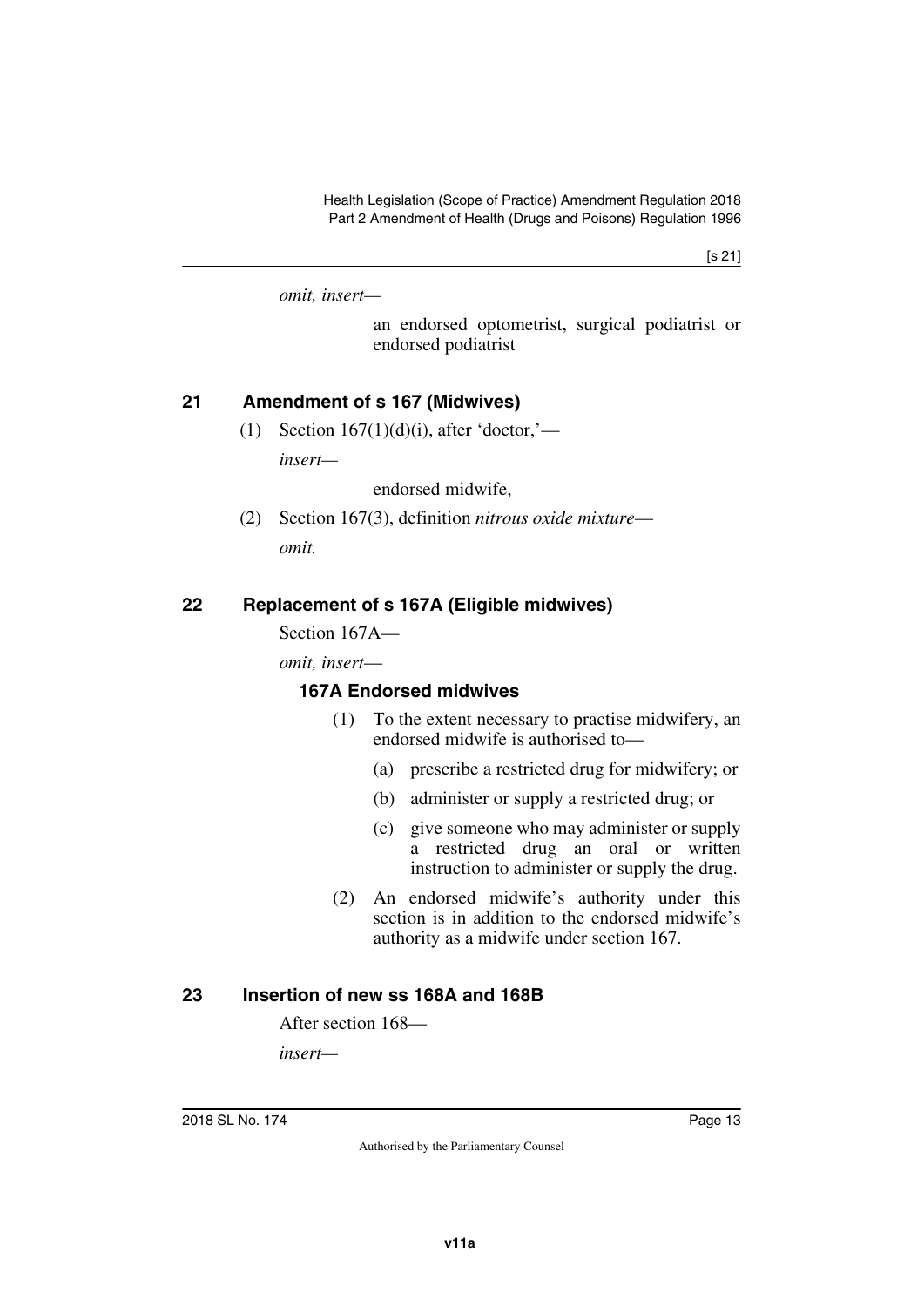[s 21]

*omit, insert—*

an endorsed optometrist, surgical podiatrist or endorsed podiatrist

## <span id="page-12-0"></span>**21 Amendment of s 167 (Midwives)**

<span id="page-12-1"></span>(1) Section  $167(1)(d)(i)$ , after 'doctor,' *insert—*

endorsed midwife,

(2) Section 167(3), definition *nitrous oxide mixture omit.*

## <span id="page-12-2"></span>**22 Replacement of s 167A (Eligible midwives)**

<span id="page-12-3"></span>Section 167A—

*omit, insert*—

#### <span id="page-12-4"></span>**167A Endorsed midwives**

- <span id="page-12-5"></span>(1) To the extent necessary to practise midwifery, an endorsed midwife is authorised to—
	- (a) prescribe a restricted drug for midwifery; or
	- (b) administer or supply a restricted drug; or
	- (c) give someone who may administer or supply a restricted drug an oral or written instruction to administer or supply the drug.
- (2) An endorsed midwife's authority under this section is in addition to the endorsed midwife's authority as a midwife under section 167.

#### <span id="page-12-6"></span>**23 Insertion of new ss 168A and 168B**

<span id="page-12-7"></span>After section 168—

*insert—*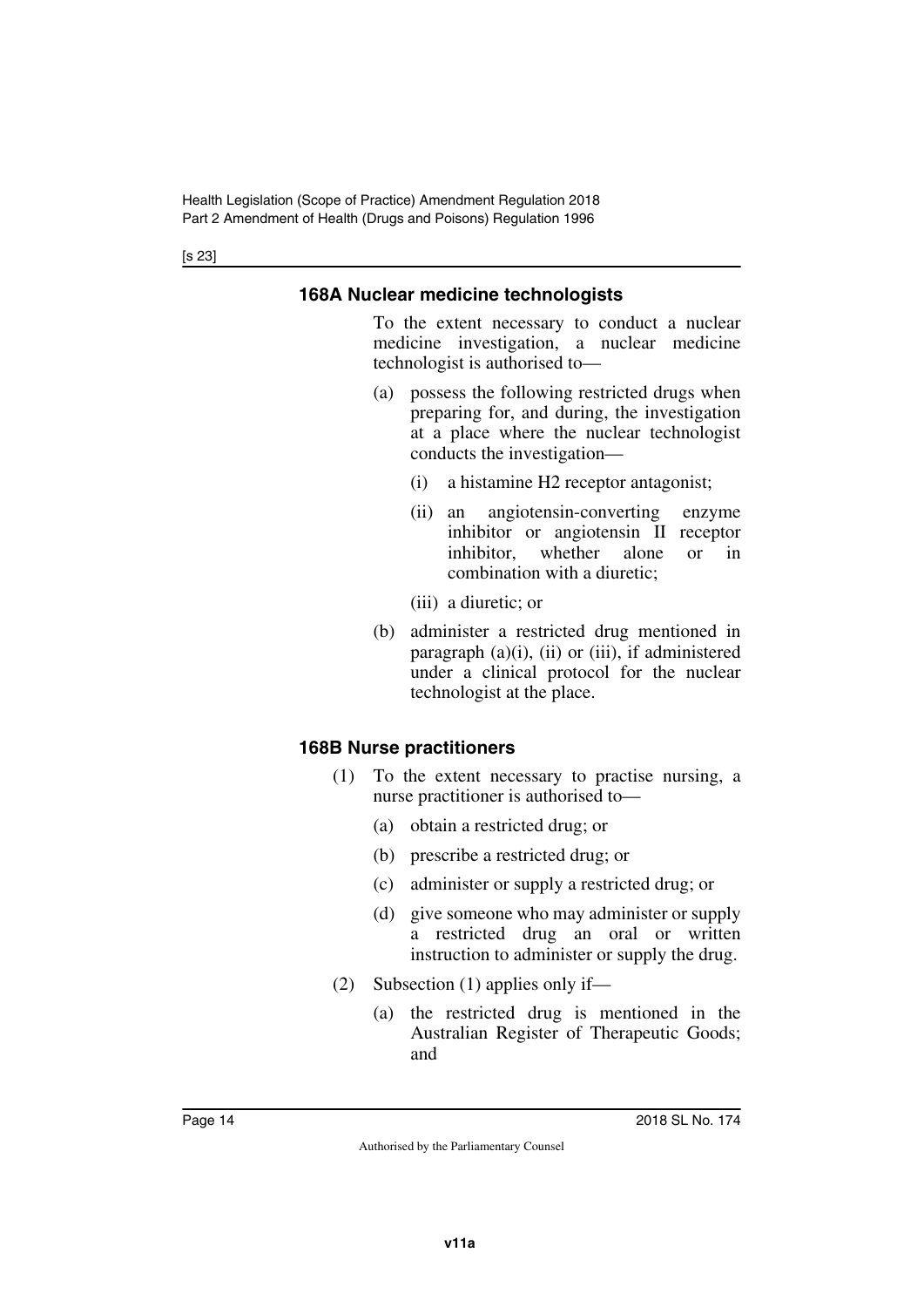[s 23]

## <span id="page-13-1"></span><span id="page-13-0"></span>**168A Nuclear medicine technologists**

To the extent necessary to conduct a nuclear medicine investigation, a nuclear medicine technologist is authorised to—

- (a) possess the following restricted drugs when preparing for, and during, the investigation at a place where the nuclear technologist conducts the investigation—
	- (i) a histamine H2 receptor antagonist;
	- (ii) an angiotensin-converting enzyme inhibitor or angiotensin II receptor inhibitor, whether alone or in combination with a diuretic;
	- (iii) a diuretic; or
- (b) administer a restricted drug mentioned in paragraph  $(a)(i)$ ,  $(ii)$  or  $(iii)$ , if administered under a clinical protocol for the nuclear technologist at the place.

# <span id="page-13-2"></span>**168B Nurse practitioners**

- <span id="page-13-3"></span>(1) To the extent necessary to practise nursing, a nurse practitioner is authorised to—
	- (a) obtain a restricted drug; or
	- (b) prescribe a restricted drug; or
	- (c) administer or supply a restricted drug; or
	- (d) give someone who may administer or supply a restricted drug an oral or written instruction to administer or supply the drug.
- (2) Subsection (1) applies only if—
	- (a) the restricted drug is mentioned in the Australian Register of Therapeutic Goods; and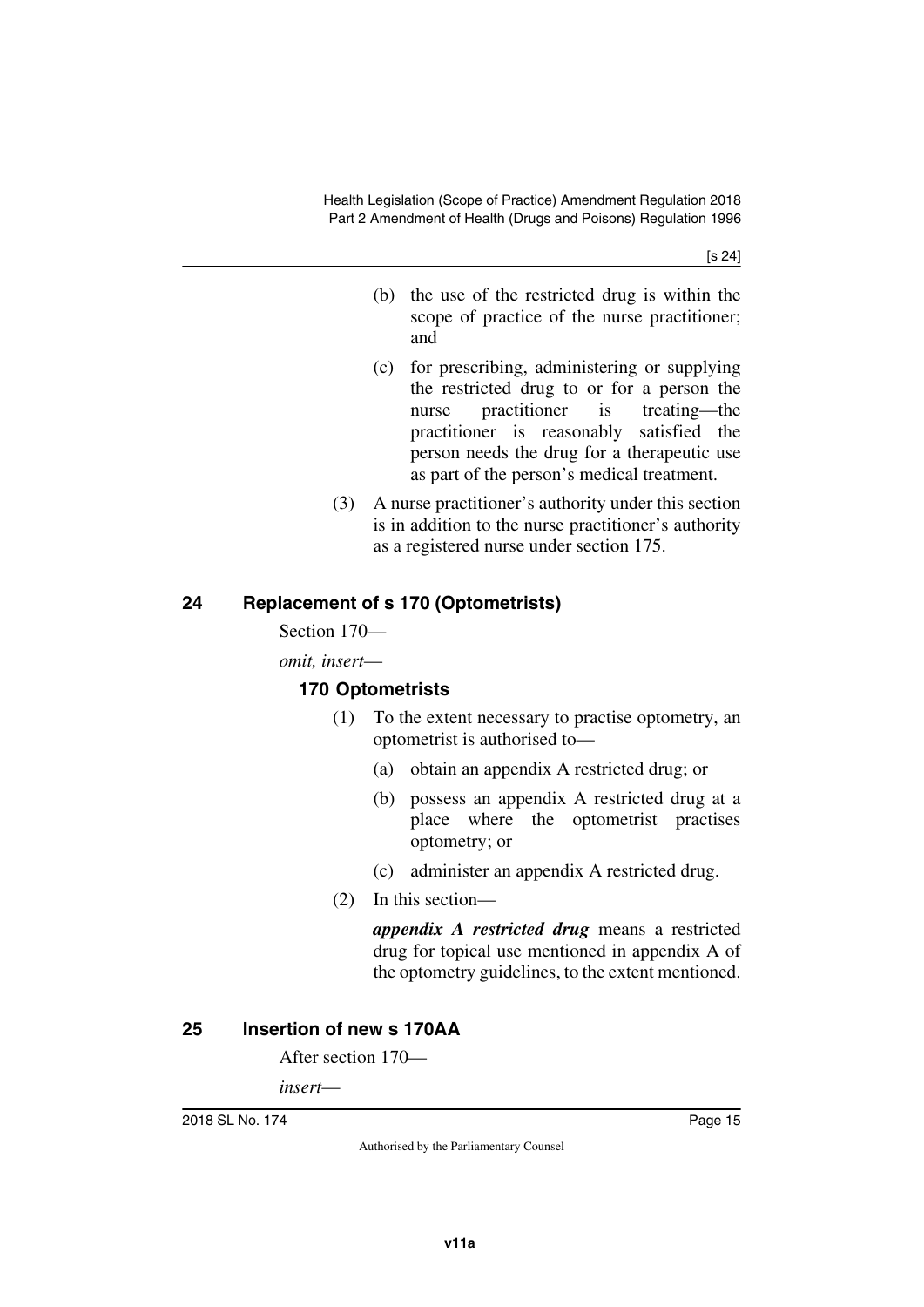[s 24]

- (b) the use of the restricted drug is within the scope of practice of the nurse practitioner; and
- (c) for prescribing, administering or supplying the restricted drug to or for a person the nurse practitioner is treating—the practitioner is reasonably satisfied the person needs the drug for a therapeutic use as part of the person's medical treatment.
- (3) A nurse practitioner's authority under this section is in addition to the nurse practitioner's authority as a registered nurse under section 175.

## <span id="page-14-0"></span>**24 Replacement of s 170 (Optometrists)**

<span id="page-14-1"></span>Section 170—

*omit, insert*—

## <span id="page-14-3"></span><span id="page-14-2"></span>**170 Optometrists**

- (1) To the extent necessary to practise optometry, an optometrist is authorised to—
	- (a) obtain an appendix A restricted drug; or
	- (b) possess an appendix A restricted drug at a place where the optometrist practises optometry; or
	- (c) administer an appendix A restricted drug.
- (2) In this section—

*appendix A restricted drug* means a restricted drug for topical use mentioned in appendix A of the optometry guidelines, to the extent mentioned.

## <span id="page-14-4"></span>**25 Insertion of new s 170AA**

<span id="page-14-5"></span>After section 170—

*insert*—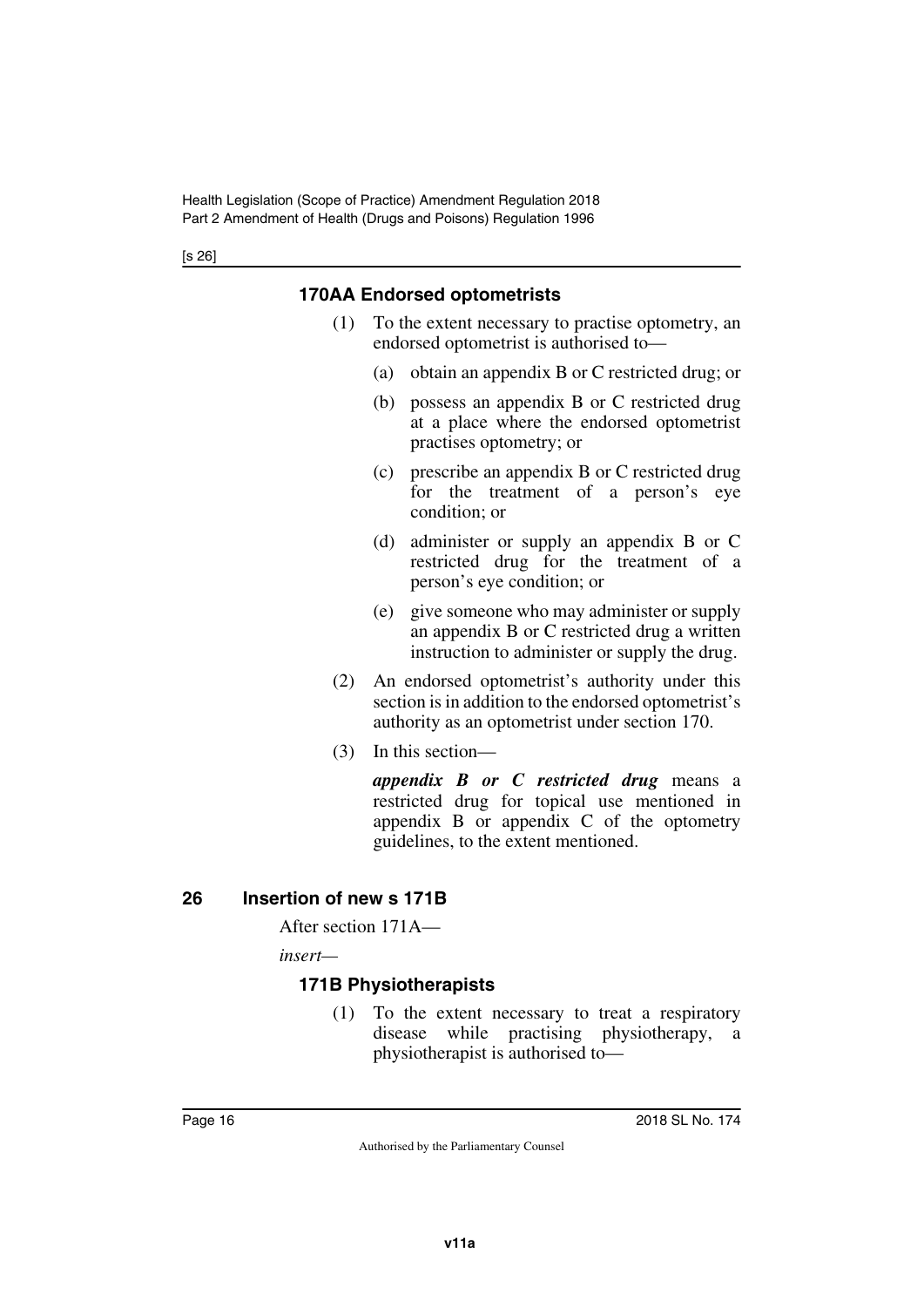## <span id="page-15-0"></span>**170AA Endorsed optometrists**

- <span id="page-15-1"></span>(1) To the extent necessary to practise optometry, an endorsed optometrist is authorised to—
	- (a) obtain an appendix B or C restricted drug; or
	- (b) possess an appendix B or C restricted drug at a place where the endorsed optometrist practises optometry; or
	- (c) prescribe an appendix B or C restricted drug for the treatment of a person's eye condition; or
	- (d) administer or supply an appendix B or C restricted drug for the treatment of a person's eye condition; or
	- (e) give someone who may administer or supply an appendix B or C restricted drug a written instruction to administer or supply the drug.
- (2) An endorsed optometrist's authority under this section is in addition to the endorsed optometrist's authority as an optometrist under section 170.
- (3) In this section—

*appendix B or C restricted drug* means a restricted drug for topical use mentioned in appendix B or appendix C of the optometry guidelines, to the extent mentioned.

## <span id="page-15-2"></span>**26 Insertion of new s 171B**

<span id="page-15-3"></span>After section 171A—

*insert—*

## <span id="page-15-4"></span>**171B Physiotherapists**

<span id="page-15-5"></span>(1) To the extent necessary to treat a respiratory disease while practising physiotherapy, physiotherapist is authorised to—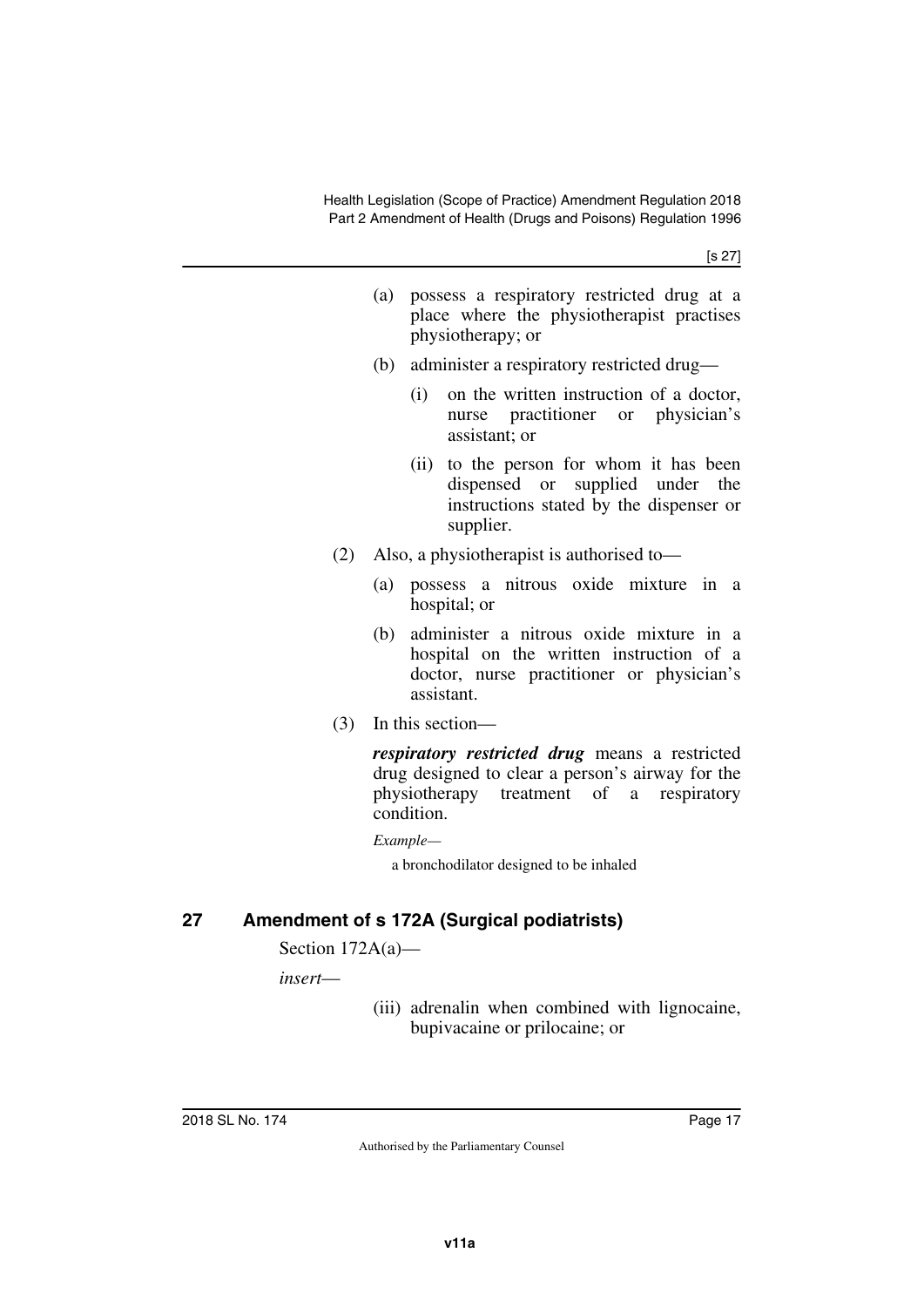- (a) possess a respiratory restricted drug at a place where the physiotherapist practises physiotherapy; or
- (b) administer a respiratory restricted drug—
	- (i) on the written instruction of a doctor, nurse practitioner or physician's assistant; or
	- (ii) to the person for whom it has been dispensed or supplied under the instructions stated by the dispenser or supplier.
- (2) Also, a physiotherapist is authorised to—
	- (a) possess a nitrous oxide mixture in a hospital; or
	- (b) administer a nitrous oxide mixture in a hospital on the written instruction of a doctor, nurse practitioner or physician's assistant.
- (3) In this section—

*respiratory restricted drug* means a restricted drug designed to clear a person's airway for the physiotherapy treatment of a respiratory condition.

*Example—*

a bronchodilator designed to be inhaled

## <span id="page-16-0"></span>**27 Amendment of s 172A (Surgical podiatrists)**

<span id="page-16-1"></span>Section 172A(a)—

*insert*—

(iii) adrenalin when combined with lignocaine, bupivacaine or prilocaine; or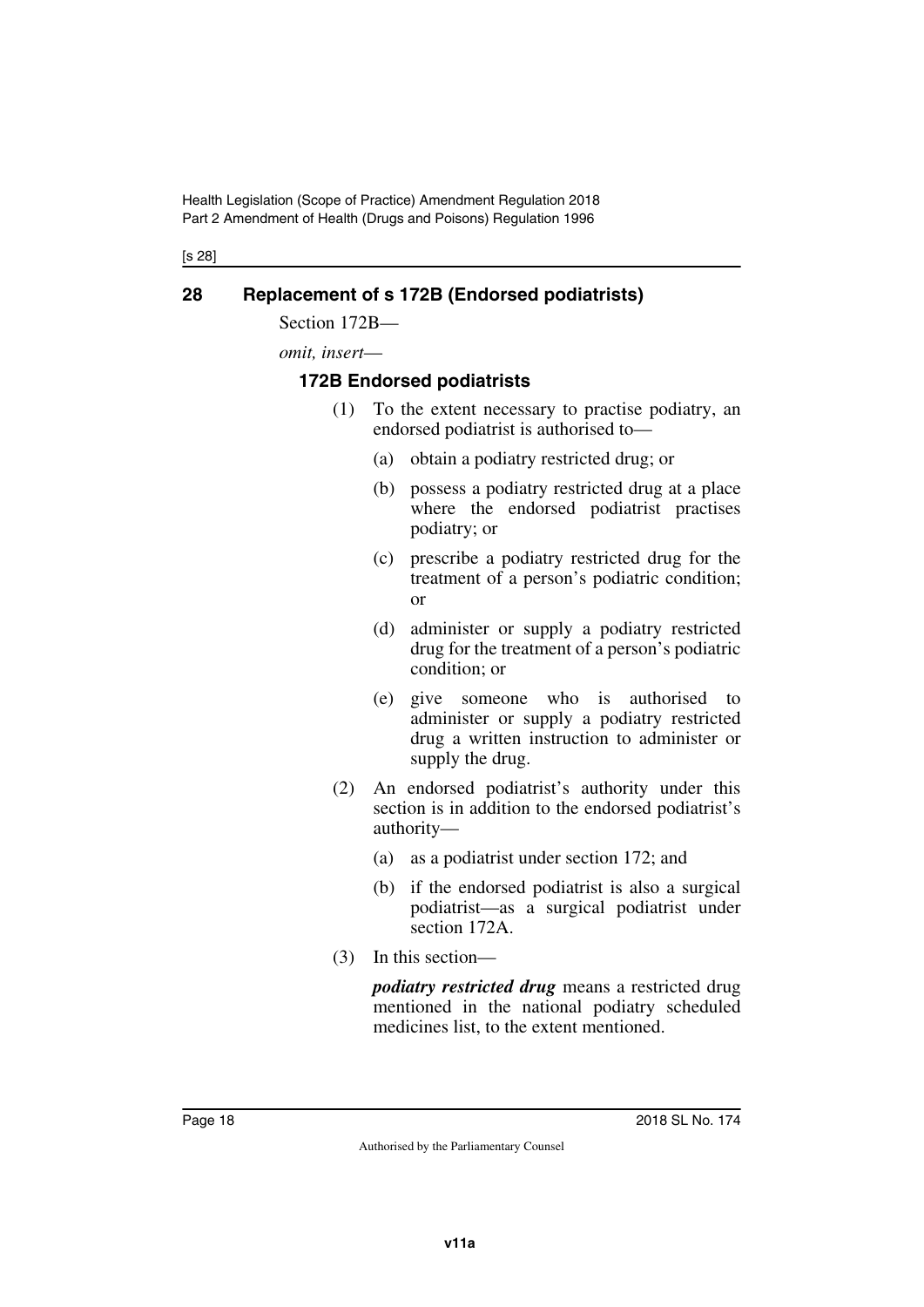[s 28]

## <span id="page-17-0"></span>**28 Replacement of s 172B (Endorsed podiatrists)**

<span id="page-17-1"></span>Section 172B—

*omit, insert*—

#### <span id="page-17-2"></span>**172B Endorsed podiatrists**

- <span id="page-17-3"></span>(1) To the extent necessary to practise podiatry, an endorsed podiatrist is authorised to—
	- (a) obtain a podiatry restricted drug; or
	- (b) possess a podiatry restricted drug at a place where the endorsed podiatrist practises podiatry; or
	- (c) prescribe a podiatry restricted drug for the treatment of a person's podiatric condition; or
	- (d) administer or supply a podiatry restricted drug for the treatment of a person's podiatric condition; or
	- (e) give someone who is authorised to administer or supply a podiatry restricted drug a written instruction to administer or supply the drug.
- (2) An endorsed podiatrist's authority under this section is in addition to the endorsed podiatrist's authority—
	- (a) as a podiatrist under section 172; and
	- (b) if the endorsed podiatrist is also a surgical podiatrist—as a surgical podiatrist under section 172A.
- (3) In this section—

*podiatry restricted drug* means a restricted drug mentioned in the national podiatry scheduled medicines list, to the extent mentioned.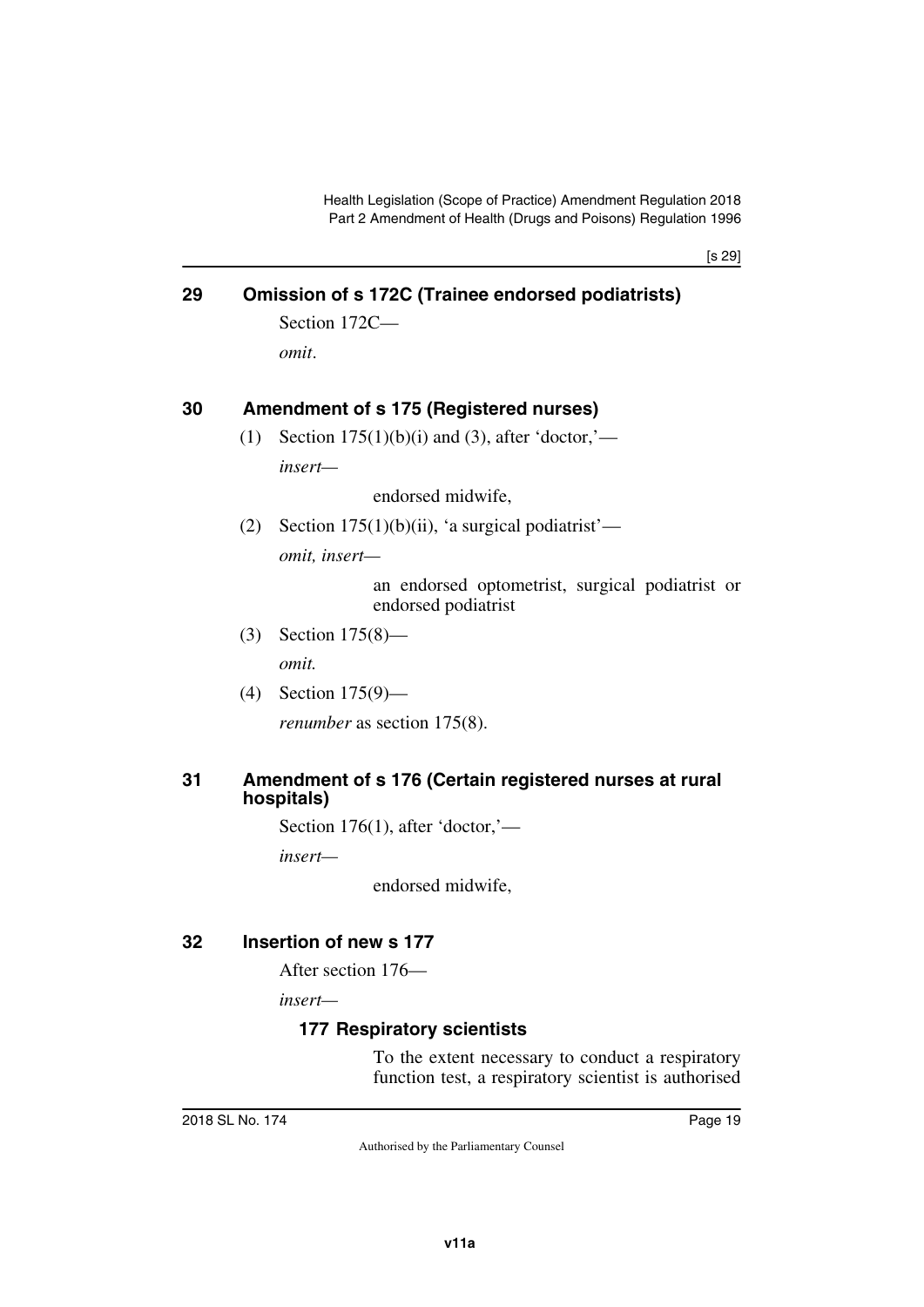[s 29]

## <span id="page-18-0"></span>**29 Omission of s 172C (Trainee endorsed podiatrists)**

<span id="page-18-1"></span>Section 172C *omit*.

#### <span id="page-18-2"></span>**30 Amendment of s 175 (Registered nurses)**

<span id="page-18-3"></span>(1) Section  $175(1)(b)(i)$  and (3), after 'doctor,' *insert—*

endorsed midwife,

(2) Section  $175(1)(b)(ii)$ , 'a surgical podiatrist' *omit, insert—*

> an endorsed optometrist, surgical podiatrist or endorsed podiatrist

(3) Section 175(8)—

*omit.*

(4) Section 175(9)—

<span id="page-18-5"></span>*renumber* as section 175(8).

#### <span id="page-18-4"></span>**31 Amendment of s 176 (Certain registered nurses at rural hospitals)**

Section 176(1), after 'doctor,'—

*insert—*

endorsed midwife,

#### <span id="page-18-6"></span>**32 Insertion of new s 177**

<span id="page-18-7"></span>After section 176—

*insert—*

## <span id="page-18-9"></span><span id="page-18-8"></span>**177 Respiratory scientists**

To the extent necessary to conduct a respiratory function test, a respiratory scientist is authorised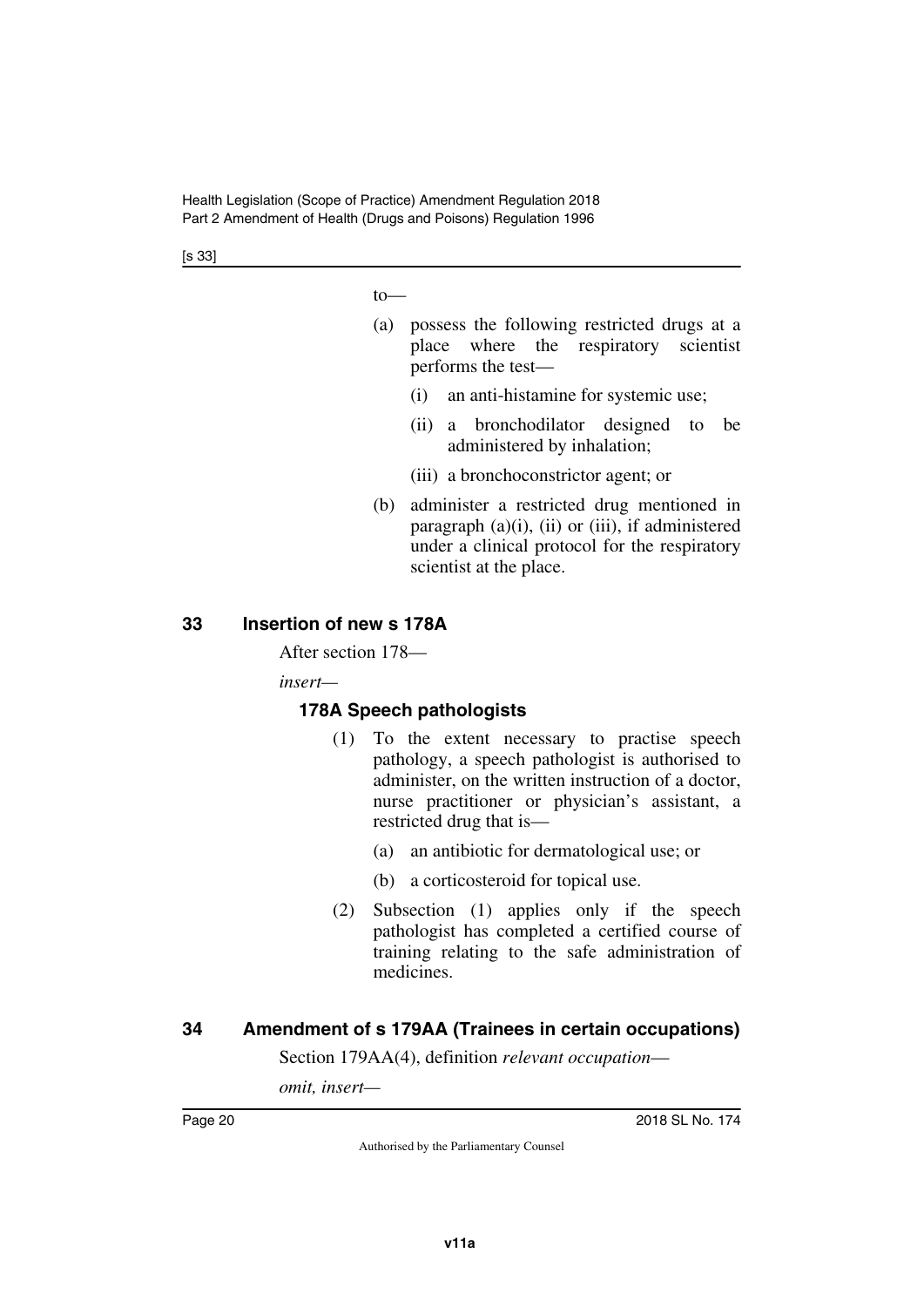[s 33]

to—

- (a) possess the following restricted drugs at a place where the respiratory scientist performs the test—
	- (i) an anti-histamine for systemic use;
	- (ii) a bronchodilator designed to be administered by inhalation;
	- (iii) a bronchoconstrictor agent; or
- (b) administer a restricted drug mentioned in paragraph  $(a)(i)$ ,  $(ii)$  or  $(iii)$ , if administered under a clinical protocol for the respiratory scientist at the place.

#### <span id="page-19-0"></span>**33 Insertion of new s 178A**

<span id="page-19-1"></span>After section 178—

*insert—*

#### <span id="page-19-2"></span>**178A Speech pathologists**

- <span id="page-19-3"></span>(1) To the extent necessary to practise speech pathology, a speech pathologist is authorised to administer, on the written instruction of a doctor, nurse practitioner or physician's assistant, a restricted drug that is—
	- (a) an antibiotic for dermatological use; or
	- (b) a corticosteroid for topical use.
- (2) Subsection (1) applies only if the speech pathologist has completed a certified course of training relating to the safe administration of medicines.

## <span id="page-19-4"></span>**34 Amendment of s 179AA (Trainees in certain occupations)**

<span id="page-19-5"></span>Section 179AA(4), definition *relevant occupation*—

*omit, insert—*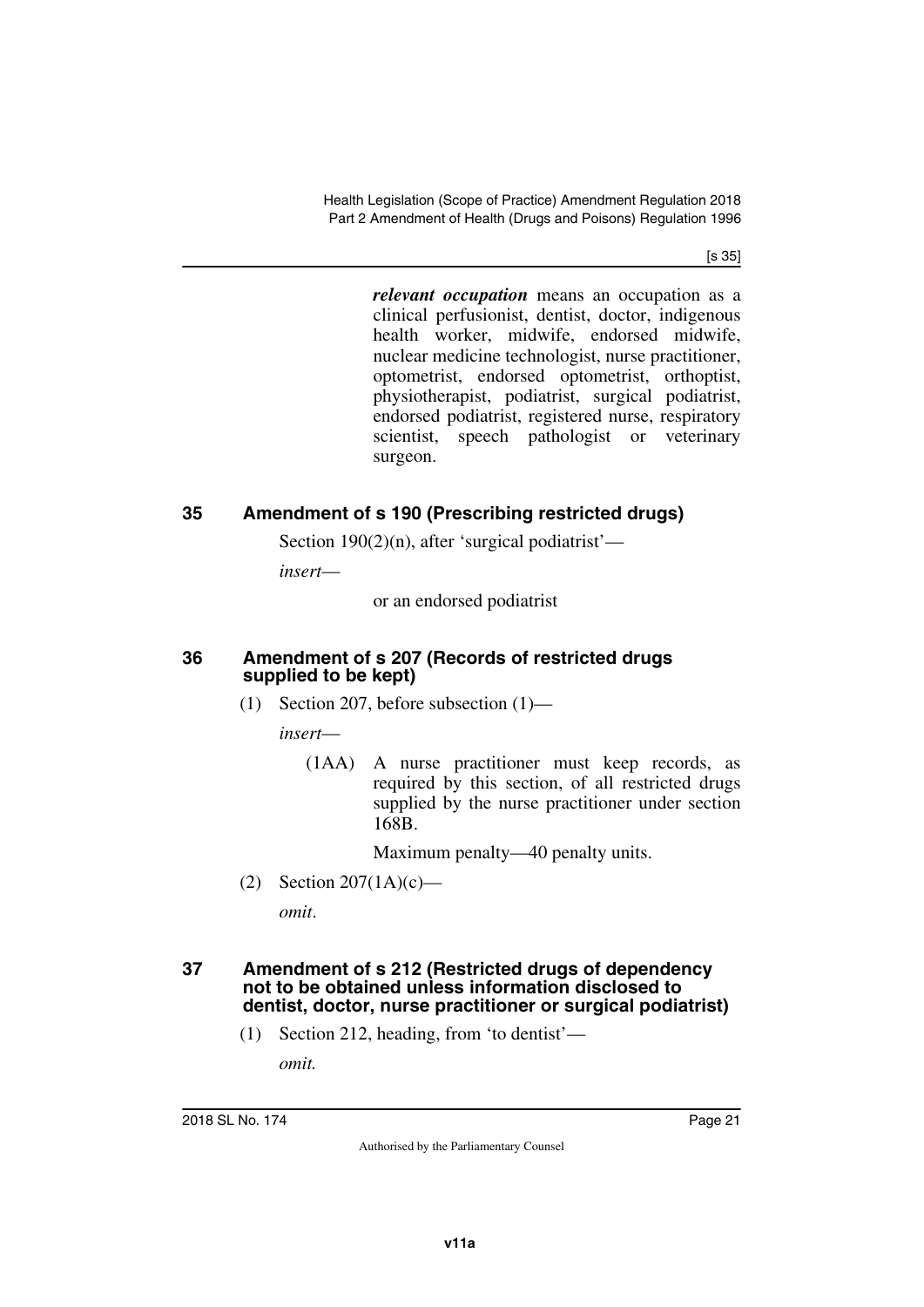[s 35]

*relevant occupation* means an occupation as a clinical perfusionist, dentist, doctor, indigenous health worker, midwife, endorsed midwife, nuclear medicine technologist, nurse practitioner, optometrist, endorsed optometrist, orthoptist, physiotherapist, podiatrist, surgical podiatrist, endorsed podiatrist, registered nurse, respiratory scientist, speech pathologist or veterinary surgeon.

## <span id="page-20-0"></span>**35 Amendment of s 190 (Prescribing restricted drugs)**

<span id="page-20-1"></span>Section  $190(2)(n)$ , after 'surgical podiatrist'—

*insert*—

or an endorsed podiatrist

#### <span id="page-20-2"></span>**36 Amendment of s 207 (Records of restricted drugs supplied to be kept)**

<span id="page-20-3"></span>(1) Section 207, before subsection (1)—

*insert*—

(1AA) A nurse practitioner must keep records, as required by this section, of all restricted drugs supplied by the nurse practitioner under section 168B.

Maximum penalty—40 penalty units.

(2) Section 207(1A)(c)—

<span id="page-20-5"></span>*omit*.

#### <span id="page-20-4"></span>**37 Amendment of s 212 (Restricted drugs of dependency not to be obtained unless information disclosed to dentist, doctor, nurse practitioner or surgical podiatrist)**

(1) Section 212, heading, from 'to dentist'—

*omit.*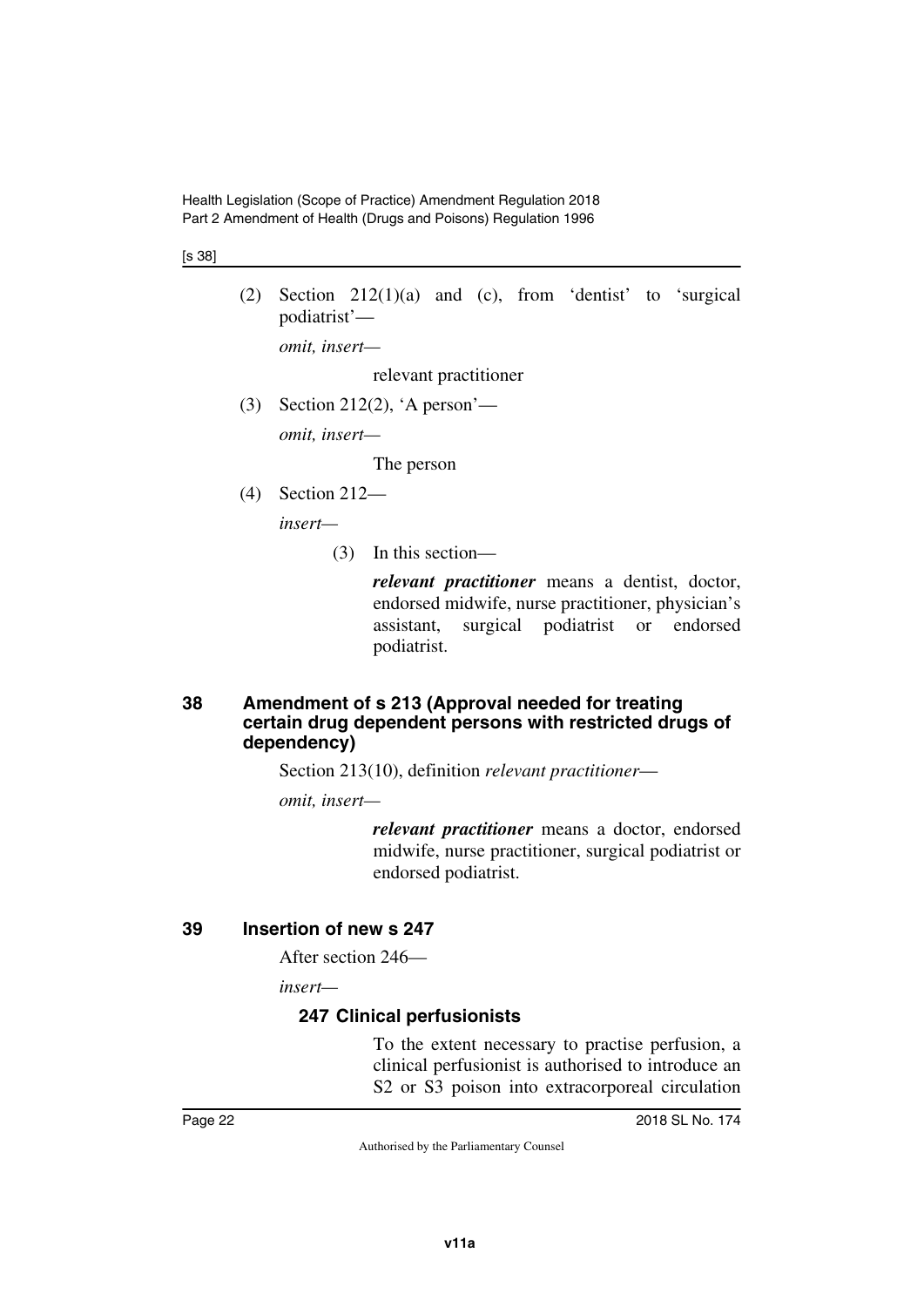[s 38]

(2) Section  $212(1)(a)$  and (c), from 'dentist' to 'surgical podiatrist'—

*omit, insert—*

relevant practitioner

(3) Section 212(2), 'A person'—

*omit, insert—*

The person

(4) Section 212—

*insert—*

(3) In this section—

*relevant practitioner* means a dentist, doctor, endorsed midwife, nurse practitioner, physician's assistant, surgical podiatrist or endorsed podiatrist.

#### <span id="page-21-1"></span><span id="page-21-0"></span>**38 Amendment of s 213 (Approval needed for treating certain drug dependent persons with restricted drugs of dependency)**

Section 213(10), definition *relevant practitioner*—

*omit, insert—*

*relevant practitioner* means a doctor, endorsed midwife, nurse practitioner, surgical podiatrist or endorsed podiatrist.

#### <span id="page-21-2"></span>**39 Insertion of new s 247**

<span id="page-21-3"></span>After section 246—

*insert—*

## <span id="page-21-5"></span><span id="page-21-4"></span>**247 Clinical perfusionists**

To the extent necessary to practise perfusion, a clinical perfusionist is authorised to introduce an S2 or S3 poison into extracorporeal circulation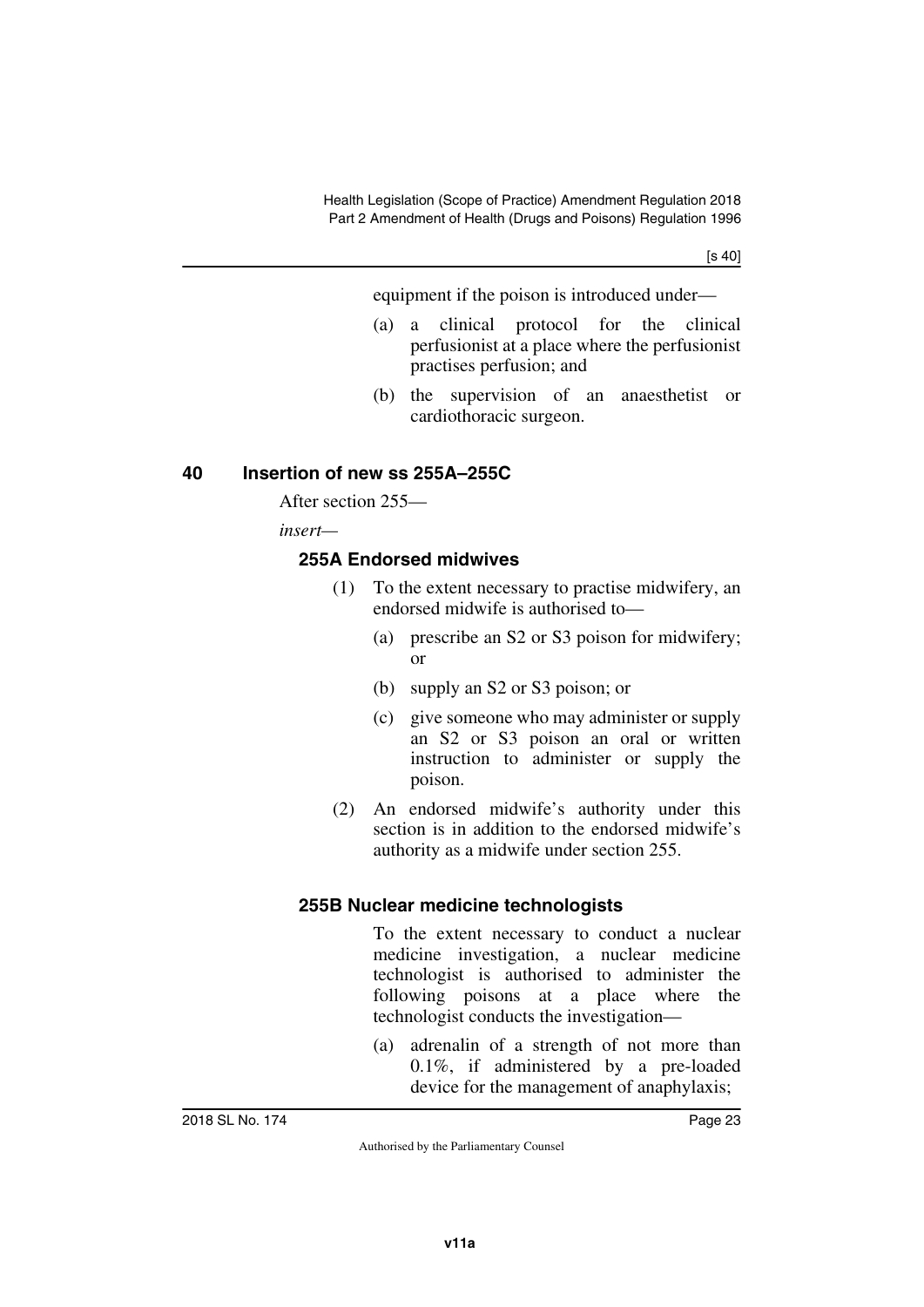[s 40]

equipment if the poison is introduced under—

- (a) a clinical protocol for the clinical perfusionist at a place where the perfusionist practises perfusion; and
- (b) the supervision of an anaesthetist or cardiothoracic surgeon.

## <span id="page-22-0"></span>**40 Insertion of new ss 255A–255C**

<span id="page-22-1"></span>After section 255—

*insert—*

## <span id="page-22-2"></span>**255A Endorsed midwives**

- <span id="page-22-3"></span>(1) To the extent necessary to practise midwifery, an endorsed midwife is authorised to—
	- (a) prescribe an S2 or S3 poison for midwifery; or
	- (b) supply an S2 or S3 poison; or
	- (c) give someone who may administer or supply an S2 or S3 poison an oral or written instruction to administer or supply the poison.
- (2) An endorsed midwife's authority under this section is in addition to the endorsed midwife's authority as a midwife under section 255.

## <span id="page-22-4"></span>**255B Nuclear medicine technologists**

<span id="page-22-5"></span>To the extent necessary to conduct a nuclear medicine investigation, a nuclear medicine technologist is authorised to administer the following poisons at a place where the technologist conducts the investigation—

(a) adrenalin of a strength of not more than 0.1%, if administered by a pre-loaded device for the management of anaphylaxis;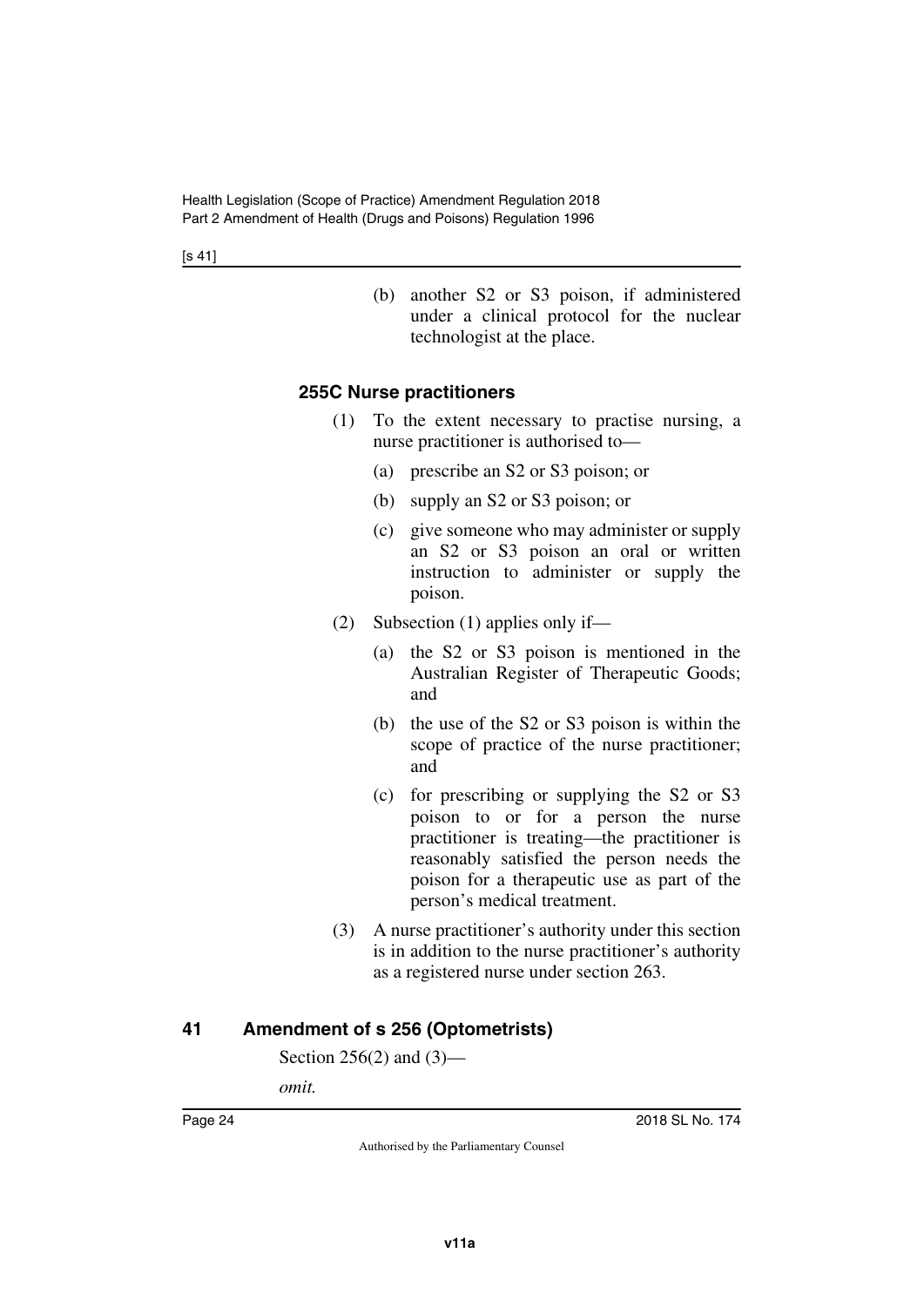(b) another S2 or S3 poison, if administered under a clinical protocol for the nuclear technologist at the place.

#### <span id="page-23-0"></span>**255C Nurse practitioners**

- <span id="page-23-1"></span>(1) To the extent necessary to practise nursing, a nurse practitioner is authorised to—
	- (a) prescribe an S2 or S3 poison; or
	- (b) supply an S2 or S3 poison; or
	- (c) give someone who may administer or supply an S2 or S3 poison an oral or written instruction to administer or supply the poison.
- (2) Subsection (1) applies only if—
	- (a) the S2 or S3 poison is mentioned in the Australian Register of Therapeutic Goods; and
	- (b) the use of the S2 or S3 poison is within the scope of practice of the nurse practitioner; and
	- (c) for prescribing or supplying the S2 or S3 poison to or for a person the nurse practitioner is treating—the practitioner is reasonably satisfied the person needs the poison for a therapeutic use as part of the person's medical treatment.
- (3) A nurse practitioner's authority under this section is in addition to the nurse practitioner's authority as a registered nurse under section 263.

## <span id="page-23-2"></span>**41 Amendment of s 256 (Optometrists)**

<span id="page-23-3"></span>Section 256(2) and (3)—

*omit.*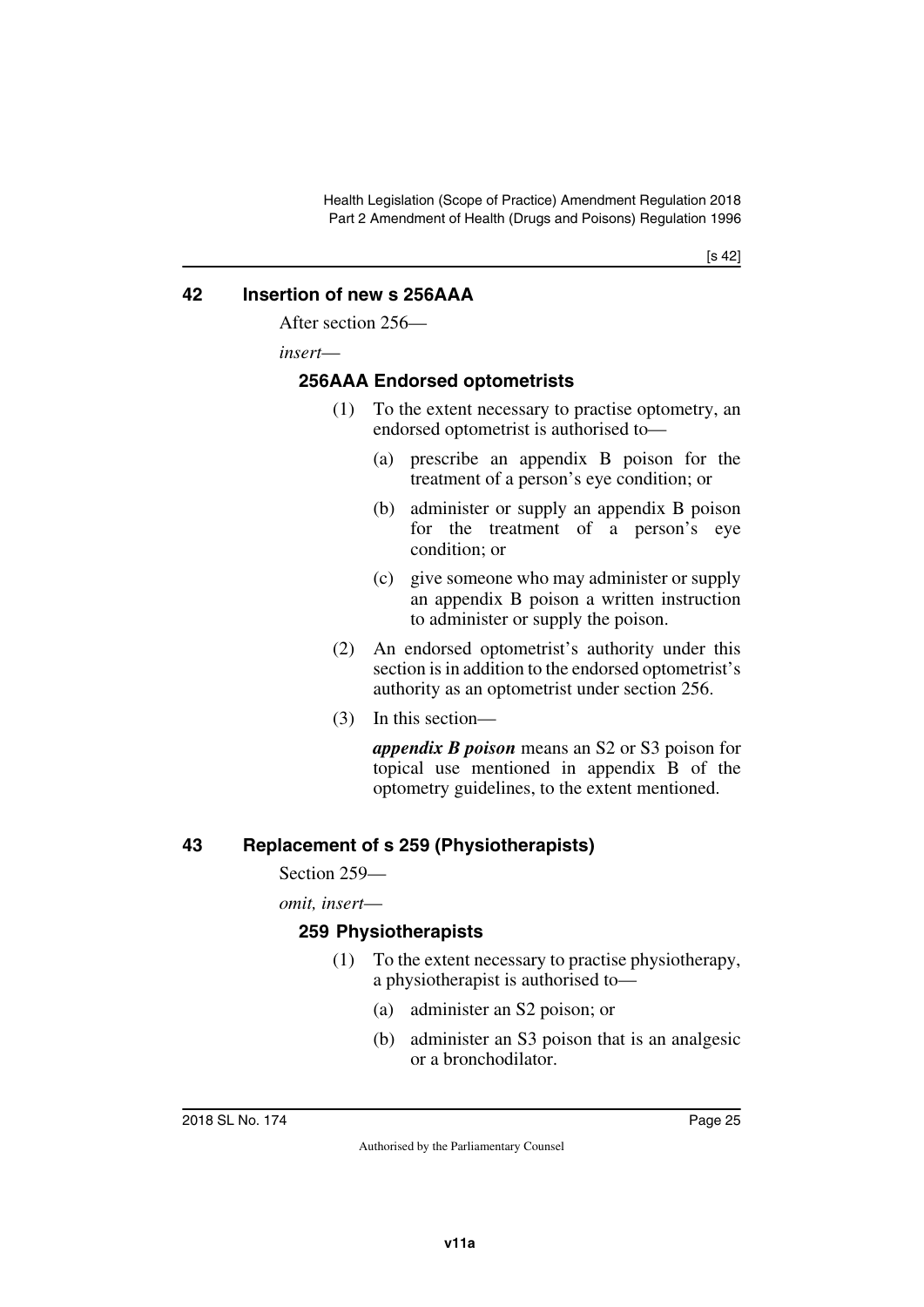#### <span id="page-24-0"></span>**42 Insertion of new s 256AAA**

<span id="page-24-1"></span>After section 256—

*insert*—

#### <span id="page-24-2"></span>**256AAA Endorsed optometrists**

- <span id="page-24-3"></span>(1) To the extent necessary to practise optometry, an endorsed optometrist is authorised to—
	- (a) prescribe an appendix B poison for the treatment of a person's eye condition; or
	- (b) administer or supply an appendix B poison for the treatment of a person's eye condition; or
	- (c) give someone who may administer or supply an appendix B poison a written instruction to administer or supply the poison.
- (2) An endorsed optometrist's authority under this section is in addition to the endorsed optometrist's authority as an optometrist under section 256.
- (3) In this section—

*appendix B poison* means an S2 or S3 poison for topical use mentioned in appendix B of the optometry guidelines, to the extent mentioned.

## <span id="page-24-4"></span>**43 Replacement of s 259 (Physiotherapists)**

<span id="page-24-5"></span>Section 259—

*omit, insert*—

## <span id="page-24-7"></span><span id="page-24-6"></span>**259 Physiotherapists**

- (1) To the extent necessary to practise physiotherapy, a physiotherapist is authorised to—
	- (a) administer an S2 poison; or
	- (b) administer an S3 poison that is an analgesic or a bronchodilator.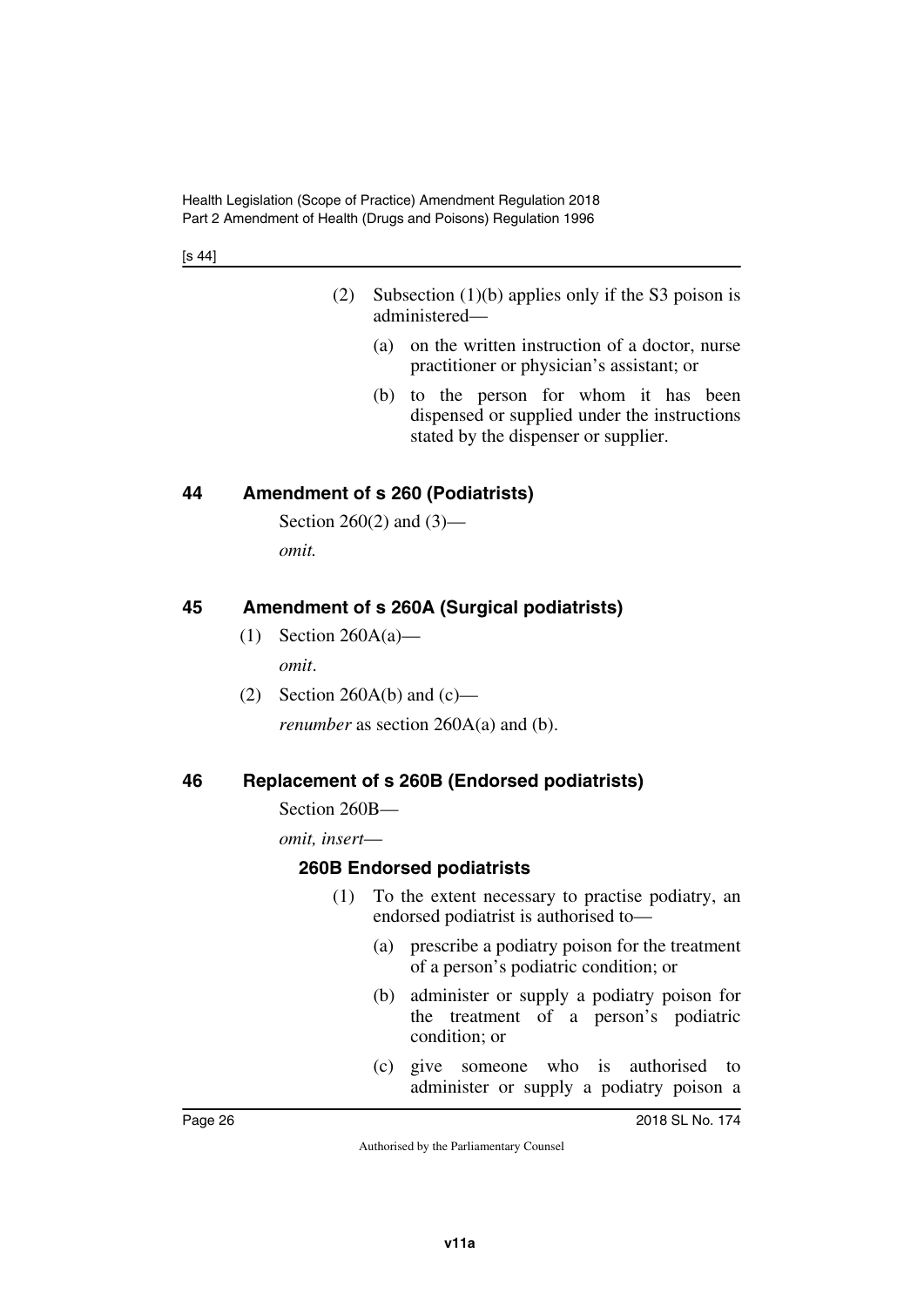[s 44]

- (2) Subsection (1)(b) applies only if the S3 poison is administered—
	- (a) on the written instruction of a doctor, nurse practitioner or physician's assistant; or
	- (b) to the person for whom it has been dispensed or supplied under the instructions stated by the dispenser or supplier.

## <span id="page-25-0"></span>**44 Amendment of s 260 (Podiatrists)**

<span id="page-25-1"></span>Section 260(2) and (3) *omit.*

## <span id="page-25-2"></span>**45 Amendment of s 260A (Surgical podiatrists)**

- <span id="page-25-3"></span>(1) Section 260A(a) *omit*.
- (2) Section 260A(b) and  $(c)$  *renumber* as section 260A(a) and (b).

## <span id="page-25-4"></span>**46 Replacement of s 260B (Endorsed podiatrists)**

<span id="page-25-5"></span>Section 260B—

*omit, insert*—

## <span id="page-25-6"></span>**260B Endorsed podiatrists**

- <span id="page-25-7"></span>(1) To the extent necessary to practise podiatry, an endorsed podiatrist is authorised to—
	- (a) prescribe a podiatry poison for the treatment of a person's podiatric condition; or
	- (b) administer or supply a podiatry poison for the treatment of a person's podiatric condition; or
	- (c) give someone who is authorised to administer or supply a podiatry poison a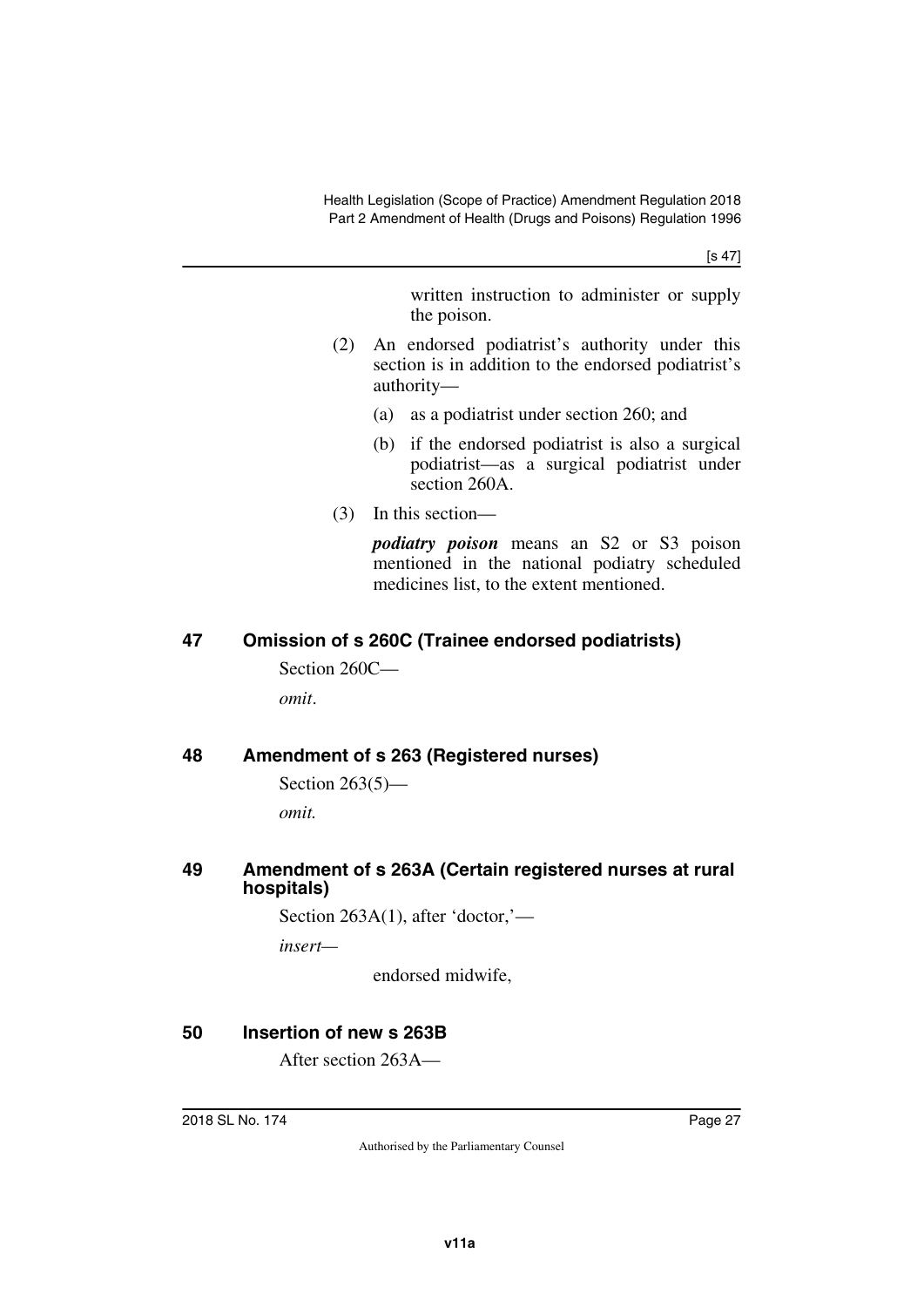[s 47]

written instruction to administer or supply the poison.

- (2) An endorsed podiatrist's authority under this section is in addition to the endorsed podiatrist's authority—
	- (a) as a podiatrist under section 260; and
	- (b) if the endorsed podiatrist is also a surgical podiatrist—as a surgical podiatrist under section 260A.
- (3) In this section—

*podiatry poison* means an S2 or S3 poison mentioned in the national podiatry scheduled medicines list, to the extent mentioned.

## <span id="page-26-0"></span>**47 Omission of s 260C (Trainee endorsed podiatrists)**

<span id="page-26-1"></span>Section 260C *omit*.

## <span id="page-26-2"></span>**48 Amendment of s 263 (Registered nurses)**

```
Section 263(5)—
```
<span id="page-26-5"></span>*omit.*

#### <span id="page-26-4"></span>**49 Amendment of s 263A (Certain registered nurses at rural hospitals)**

Section 263A(1), after 'doctor,' *insert—*

endorsed midwife,

## <span id="page-26-6"></span>**50 Insertion of new s 263B**

<span id="page-26-7"></span>After section 263A—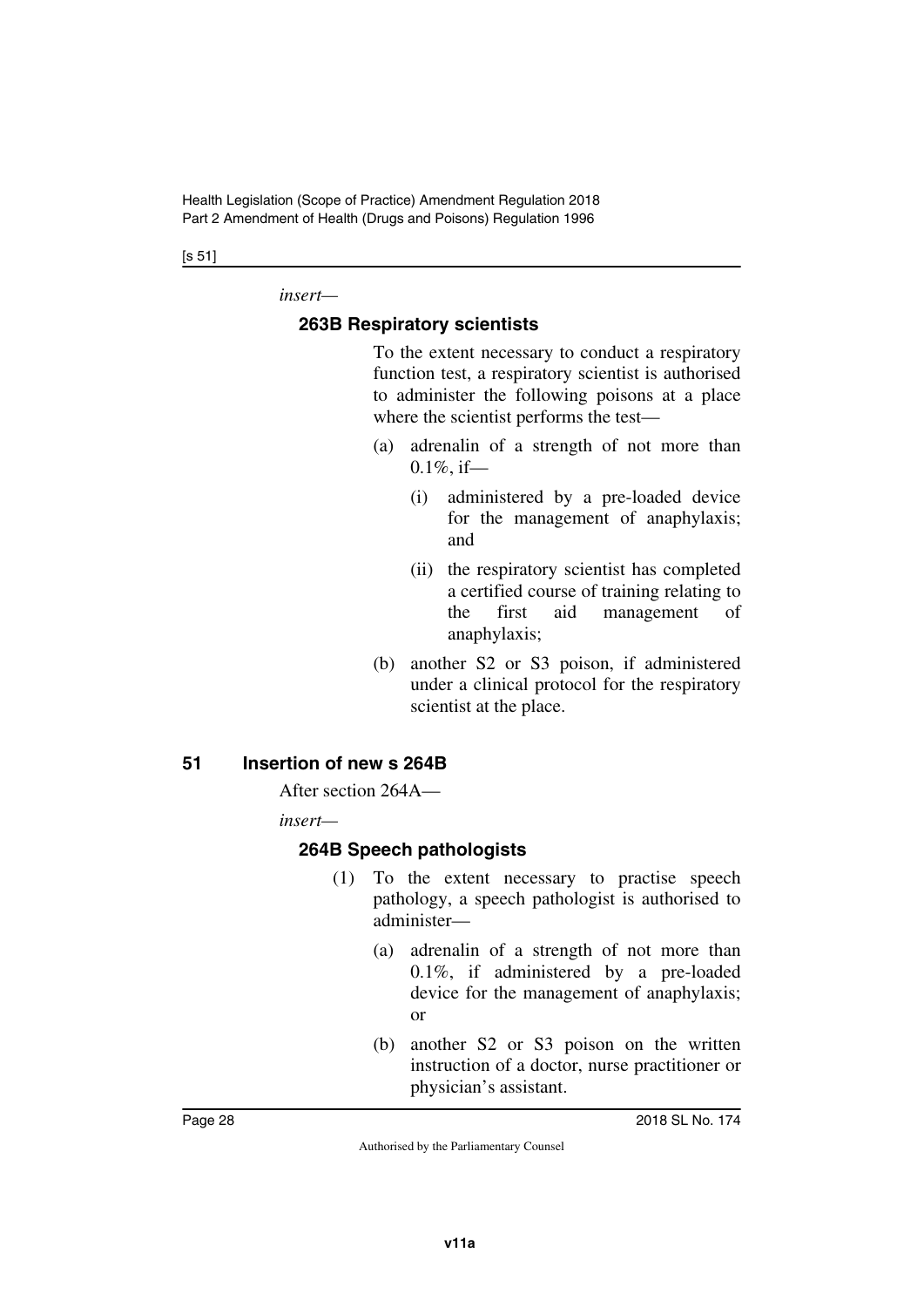#### [s 51]

*insert—*

#### <span id="page-27-0"></span>**263B Respiratory scientists**

<span id="page-27-1"></span>To the extent necessary to conduct a respiratory function test, a respiratory scientist is authorised to administer the following poisons at a place where the scientist performs the test—

- (a) adrenalin of a strength of not more than  $0.1\%$ , if—
	- (i) administered by a pre-loaded device for the management of anaphylaxis; and
	- (ii) the respiratory scientist has completed a certified course of training relating to the first aid management of anaphylaxis;
- (b) another S2 or S3 poison, if administered under a clinical protocol for the respiratory scientist at the place.

#### <span id="page-27-2"></span>**51 Insertion of new s 264B**

<span id="page-27-3"></span>After section 264A—

*insert—*

## <span id="page-27-4"></span>**264B Speech pathologists**

- <span id="page-27-5"></span>(1) To the extent necessary to practise speech pathology, a speech pathologist is authorised to administer—
	- (a) adrenalin of a strength of not more than 0.1%, if administered by a pre-loaded device for the management of anaphylaxis; or
	- (b) another S2 or S3 poison on the written instruction of a doctor, nurse practitioner or physician's assistant.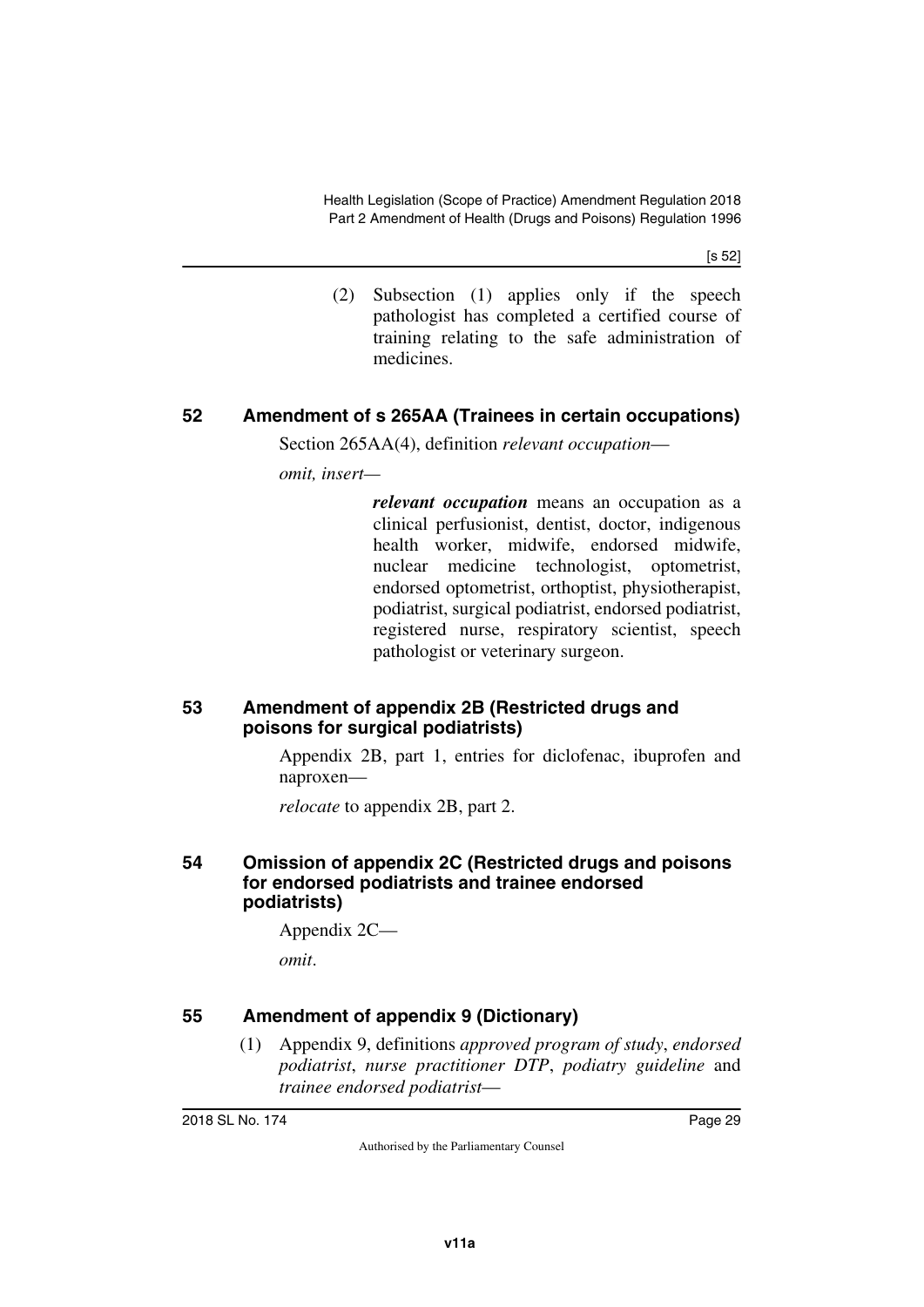[s 52]

(2) Subsection (1) applies only if the speech pathologist has completed a certified course of training relating to the safe administration of medicines.

## <span id="page-28-0"></span>**52 Amendment of s 265AA (Trainees in certain occupations)**

<span id="page-28-1"></span>Section 265AA(4), definition *relevant occupation*—

*omit, insert—*

*relevant occupation* means an occupation as a clinical perfusionist, dentist, doctor, indigenous health worker, midwife, endorsed midwife, nuclear medicine technologist, optometrist, endorsed optometrist, orthoptist, physiotherapist, podiatrist, surgical podiatrist, endorsed podiatrist, registered nurse, respiratory scientist, speech pathologist or veterinary surgeon.

#### <span id="page-28-3"></span><span id="page-28-2"></span>**53 Amendment of appendix 2B (Restricted drugs and poisons for surgical podiatrists)**

Appendix 2B, part 1, entries for diclofenac, ibuprofen and naproxen—

<span id="page-28-5"></span>*relocate* to appendix 2B, part 2.

#### <span id="page-28-4"></span>**54 Omission of appendix 2C (Restricted drugs and poisons for endorsed podiatrists and trainee endorsed podiatrists)**

Appendix 2C—

*omit*.

## <span id="page-28-6"></span>**55 Amendment of appendix 9 (Dictionary)**

<span id="page-28-7"></span>(1) Appendix 9, definitions *approved program of study*, *endorsed podiatrist*, *nurse practitioner DTP*, *podiatry guideline* and *trainee endorsed podiatrist*—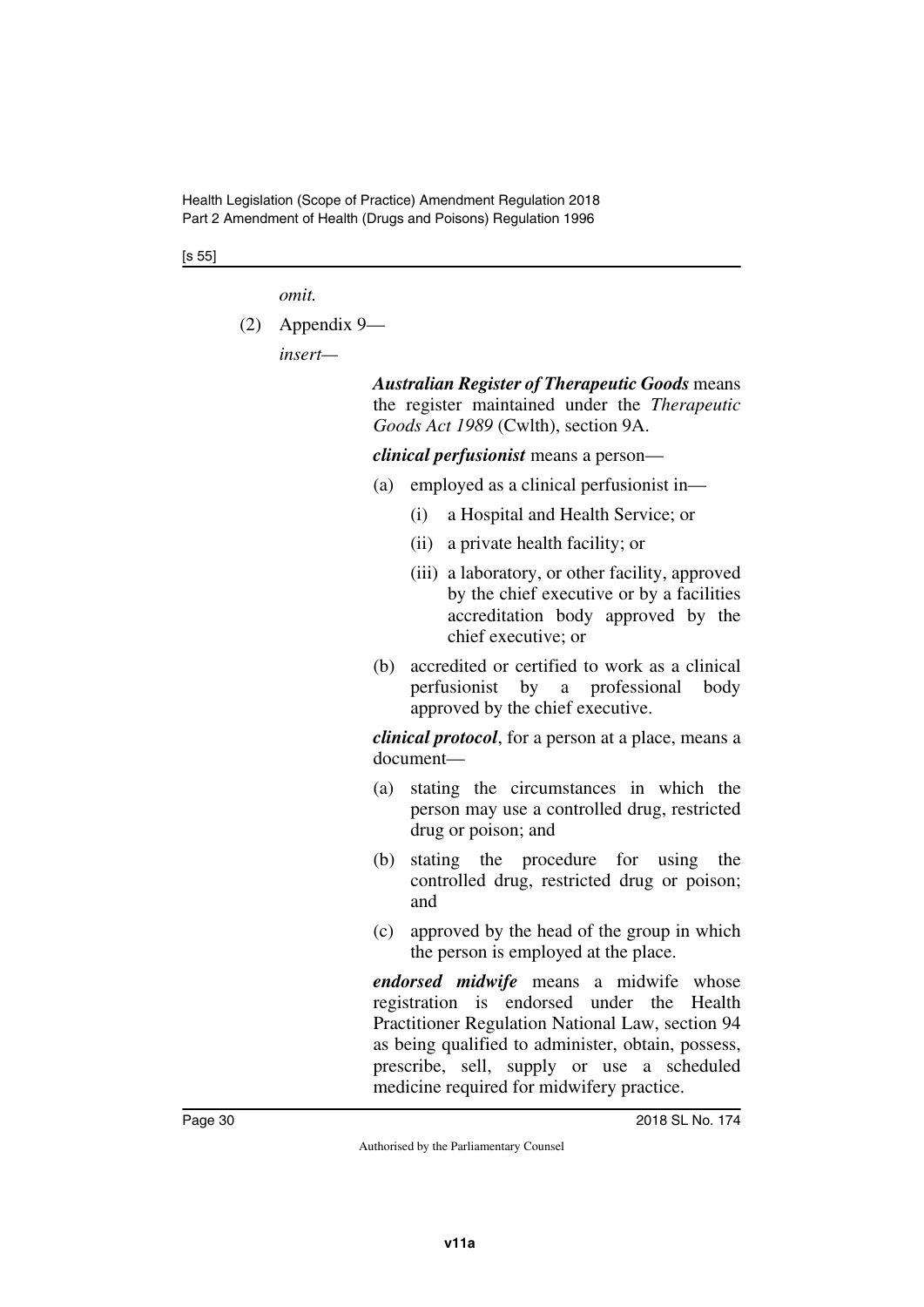[s 55]

*omit.*

(2) Appendix 9—

*insert—*

*Australian Register of Therapeutic Goods* means the register maintained under the *Therapeutic Goods Act 1989* (Cwlth), section 9A.

*clinical perfusionist* means a person—

- (a) employed as a clinical perfusionist in—
	- (i) a Hospital and Health Service; or
	- (ii) a private health facility; or
	- (iii) a laboratory, or other facility, approved by the chief executive or by a facilities accreditation body approved by the chief executive; or
- (b) accredited or certified to work as a clinical perfusionist by a professional body approved by the chief executive.

*clinical protocol*, for a person at a place, means a document—

- (a) stating the circumstances in which the person may use a controlled drug, restricted drug or poison; and
- (b) stating the procedure for using the controlled drug, restricted drug or poison; and
- (c) approved by the head of the group in which the person is employed at the place.

*endorsed midwife* means a midwife whose registration is endorsed under the Health Practitioner Regulation National Law, section 94 as being qualified to administer, obtain, possess, prescribe, sell, supply or use a scheduled medicine required for midwifery practice.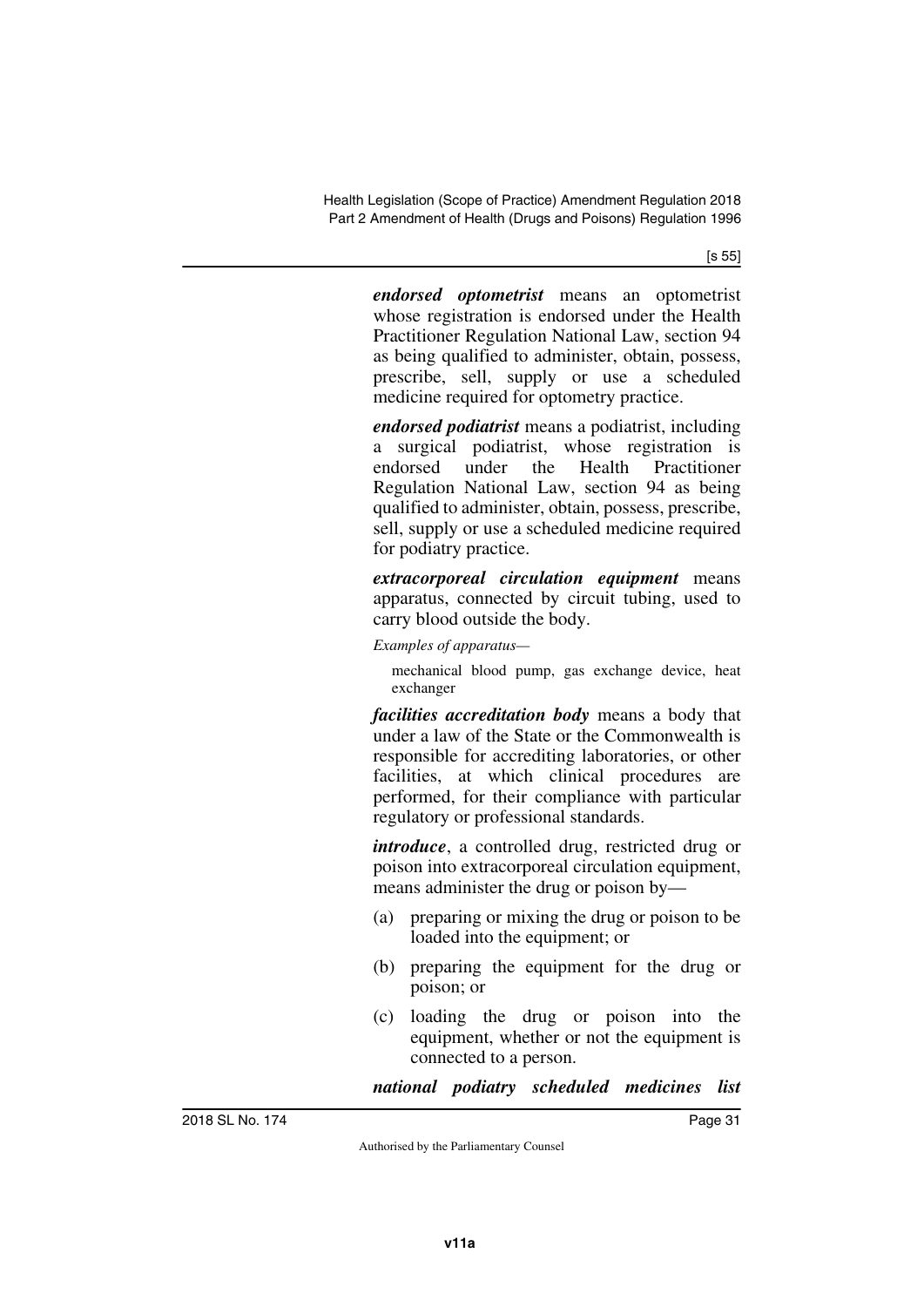[s 55]

*endorsed optometrist* means an optometrist whose registration is endorsed under the Health Practitioner Regulation National Law, section 94 as being qualified to administer, obtain, possess, prescribe, sell, supply or use a scheduled medicine required for optometry practice.

*endorsed podiatrist* means a podiatrist, including a surgical podiatrist, whose registration is endorsed under the Health Practitioner Regulation National Law, section 94 as being qualified to administer, obtain, possess, prescribe, sell, supply or use a scheduled medicine required for podiatry practice.

*extracorporeal circulation equipment* means apparatus, connected by circuit tubing, used to carry blood outside the body.

*Examples of apparatus—*

mechanical blood pump, gas exchange device, heat exchanger

*facilities accreditation body* means a body that under a law of the State or the Commonwealth is responsible for accrediting laboratories, or other facilities, at which clinical procedures are performed, for their compliance with particular regulatory or professional standards.

*introduce*, a controlled drug, restricted drug or poison into extracorporeal circulation equipment, means administer the drug or poison by—

- (a) preparing or mixing the drug or poison to be loaded into the equipment; or
- (b) preparing the equipment for the drug or poison; or
- (c) loading the drug or poison into the equipment, whether or not the equipment is connected to a person.

*national podiatry scheduled medicines list*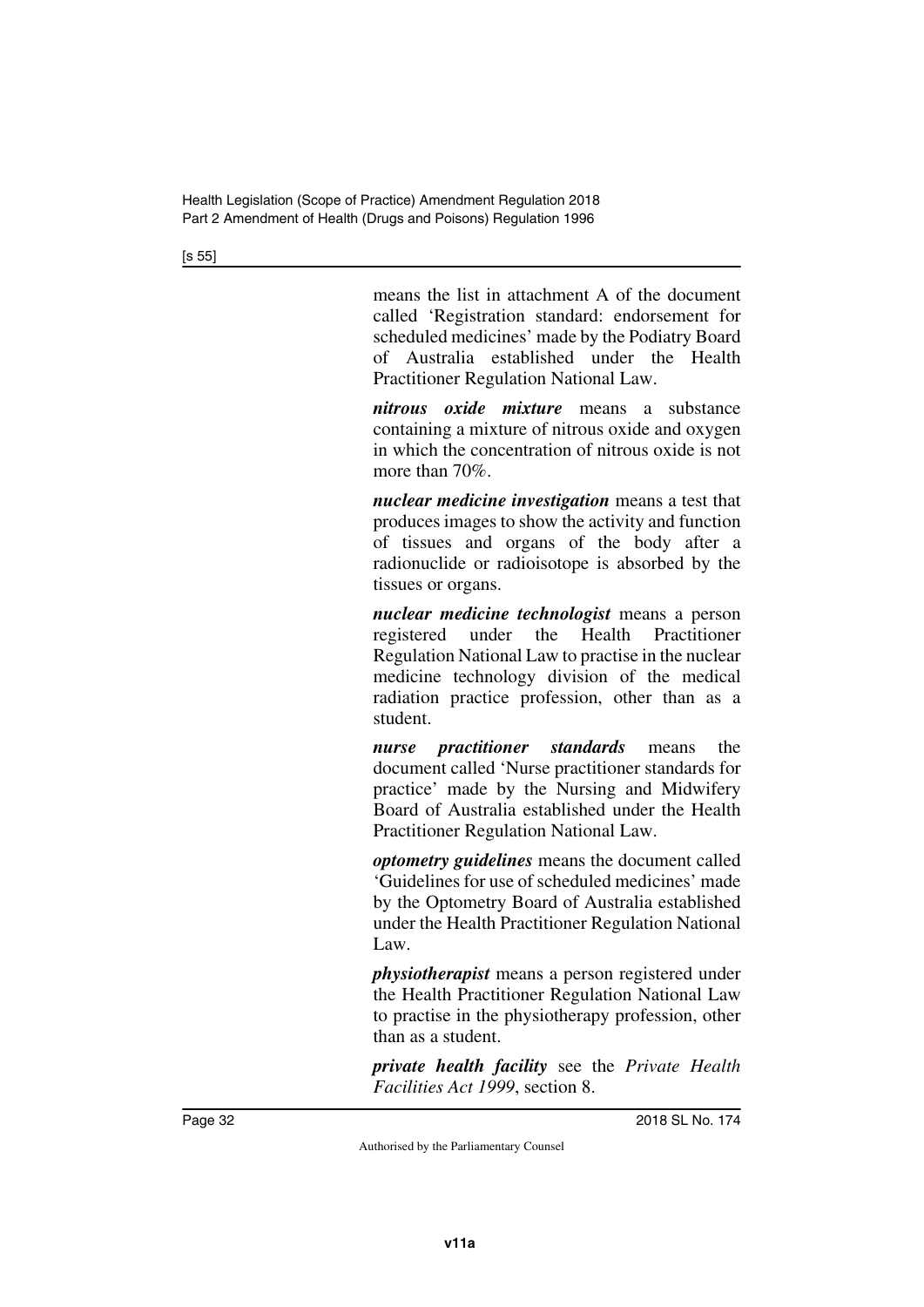[s 55]

means the list in attachment A of the document called 'Registration standard: endorsement for scheduled medicines' made by the Podiatry Board of Australia established under the Health Practitioner Regulation National Law.

*nitrous oxide mixture* means a substance containing a mixture of nitrous oxide and oxygen in which the concentration of nitrous oxide is not more than 70%.

*nuclear medicine investigation* means a test that produces images to show the activity and function of tissues and organs of the body after a radionuclide or radioisotope is absorbed by the tissues or organs.

*nuclear medicine technologist* means a person registered under the Health Practitioner Regulation National Law to practise in the nuclear medicine technology division of the medical radiation practice profession, other than as a student.

*nurse practitioner standards* means the document called 'Nurse practitioner standards for practice' made by the Nursing and Midwifery Board of Australia established under the Health Practitioner Regulation National Law.

*optometry guidelines* means the document called 'Guidelines for use of scheduled medicines' made by the Optometry Board of Australia established under the Health Practitioner Regulation National Law.

*physiotherapist* means a person registered under the Health Practitioner Regulation National Law to practise in the physiotherapy profession, other than as a student.

*private health facility* see the *Private Health Facilities Act 1999*, section 8.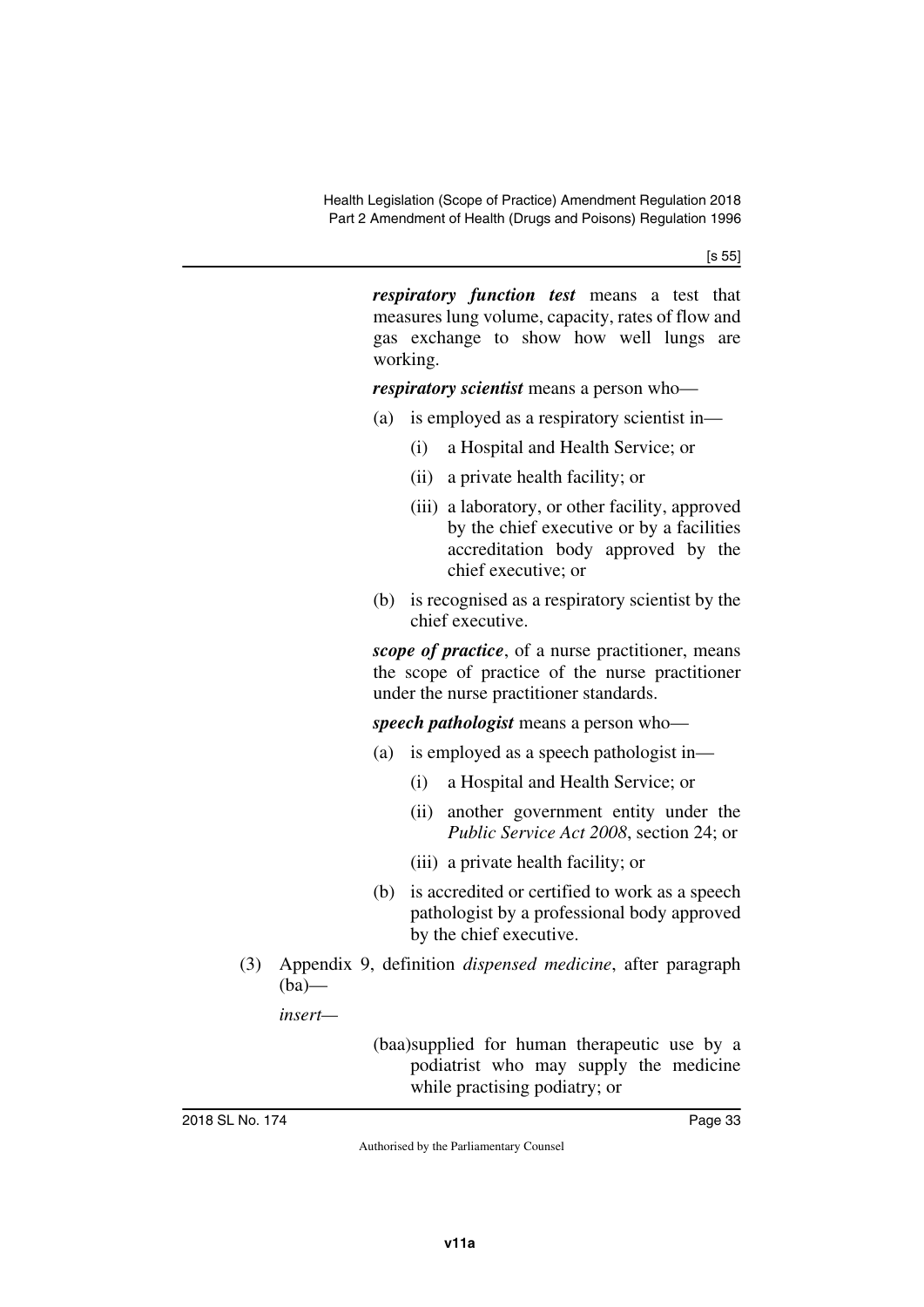[s 55]

*respiratory function test* means a test that measures lung volume, capacity, rates of flow and gas exchange to show how well lungs are working.

*respiratory scientist* means a person who—

- (a) is employed as a respiratory scientist in—
	- (i) a Hospital and Health Service; or
	- (ii) a private health facility; or
	- (iii) a laboratory, or other facility, approved by the chief executive or by a facilities accreditation body approved by the chief executive; or
- (b) is recognised as a respiratory scientist by the chief executive.

*scope of practice*, of a nurse practitioner, means the scope of practice of the nurse practitioner under the nurse practitioner standards.

*speech pathologist* means a person who—

- (a) is employed as a speech pathologist in—
	- (i) a Hospital and Health Service; or
	- (ii) another government entity under the *Public Service Act 2008*, section 24; or
	- (iii) a private health facility; or
- (b) is accredited or certified to work as a speech pathologist by a professional body approved by the chief executive.
- (3) Appendix 9, definition *dispensed medicine*, after paragraph  $(ba)$ —

*insert—*

(baa)supplied for human therapeutic use by a podiatrist who may supply the medicine while practising podiatry; or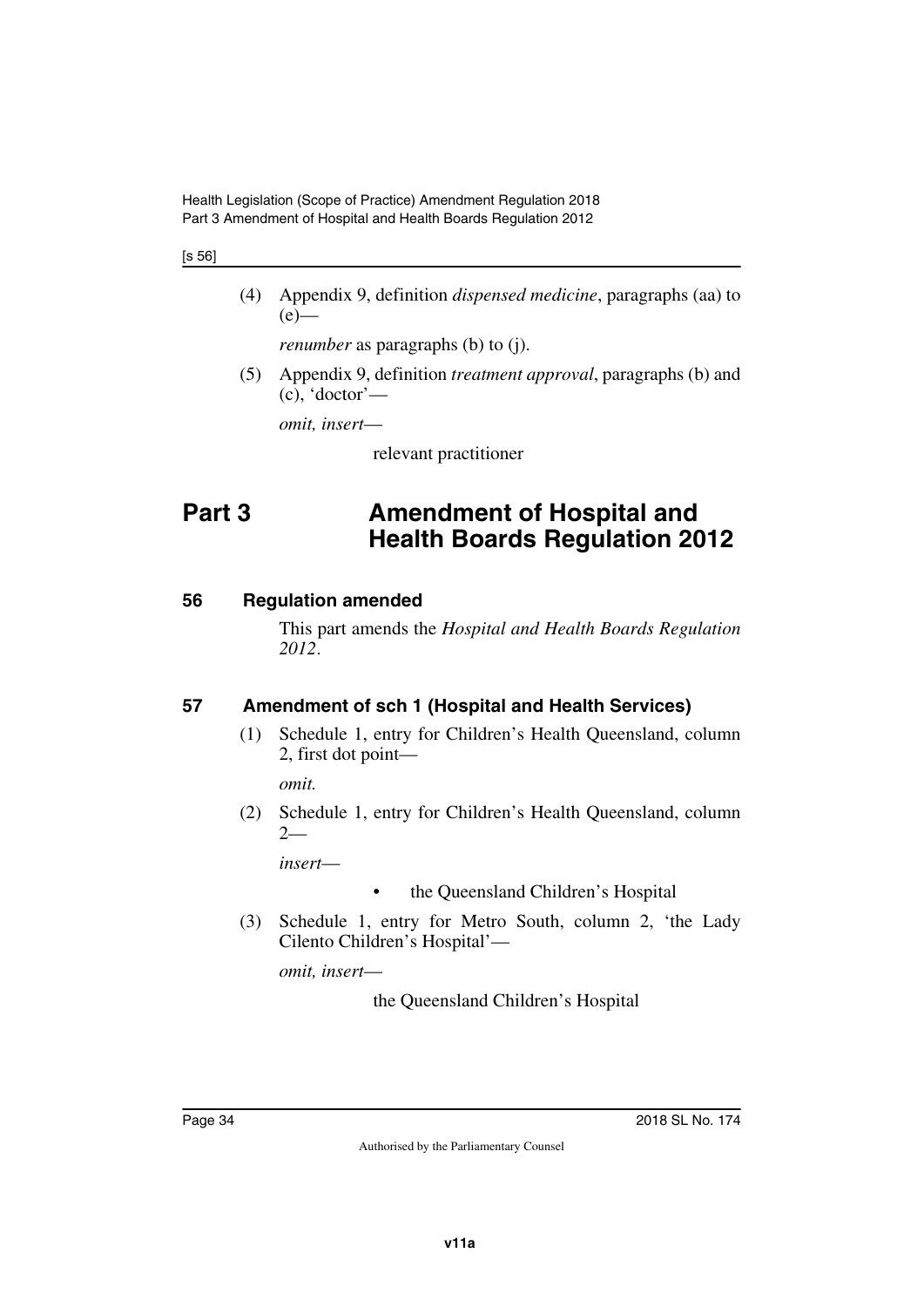#### [s 56]

(4) Appendix 9, definition *dispensed medicine*, paragraphs (aa) to  $(e)$ —

*renumber* as paragraphs (b) to (j).

(5) Appendix 9, definition *treatment approval*, paragraphs (b) and (c), 'doctor'—

*omit, insert*—

<span id="page-33-1"></span>relevant practitioner

# <span id="page-33-0"></span>**Part 3 Amendment of Hospital and Health Boards Regulation 2012**

## <span id="page-33-2"></span>**56 Regulation amended**

<span id="page-33-3"></span>This part amends the *Hospital and Health Boards Regulation 2012*.

## <span id="page-33-4"></span>**57 Amendment of sch 1 (Hospital and Health Services)**

<span id="page-33-5"></span>(1) Schedule 1, entry for Children's Health Queensland, column 2, first dot point—

*omit.*

(2) Schedule 1, entry for Children's Health Queensland, column 2—

*insert*—

- the Queensland Children's Hospital
- (3) Schedule 1, entry for Metro South, column 2, 'the Lady Cilento Children's Hospital'—

*omit, insert*—

the Queensland Children's Hospital